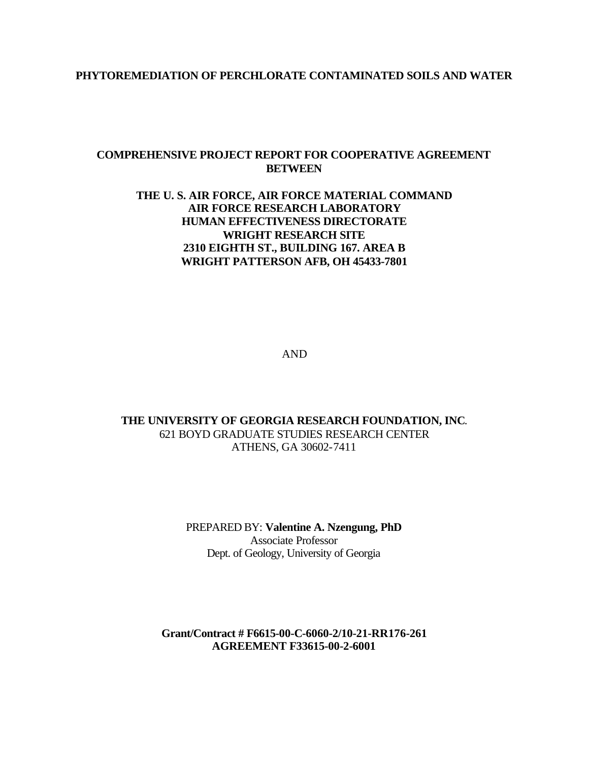#### **PHYTOREMEDIATION OF PERCHLORATE CONTAMINATED SOILS AND WATER**

#### **COMPREHENSIVE PROJECT REPORT FOR COOPERATIVE AGREEMENT BETWEEN**

#### **THE U. S. AIR FORCE, AIR FORCE MATERIAL COMMAND AIR FORCE RESEARCH LABORATORY HUMAN EFFECTIVENESS DIRECTORATE WRIGHT RESEARCH SITE 2310 EIGHTH ST., BUILDING 167. AREA B WRIGHT PATTERSON AFB, OH 45433-7801**

AND

**THE UNIVERSITY OF GEORGIA RESEARCH FOUNDATION, INC**. 621 BOYD GRADUATE STUDIES RESEARCH CENTER ATHENS, GA 30602-7411

> PREPARED BY: **Valentine A. Nzengung, PhD** Associate Professor Dept. of Geology, University of Georgia

#### **Grant/Contract # F6615-00-C-6060-2/10-21-RR176-261 AGREEMENT F33615-00-2-6001**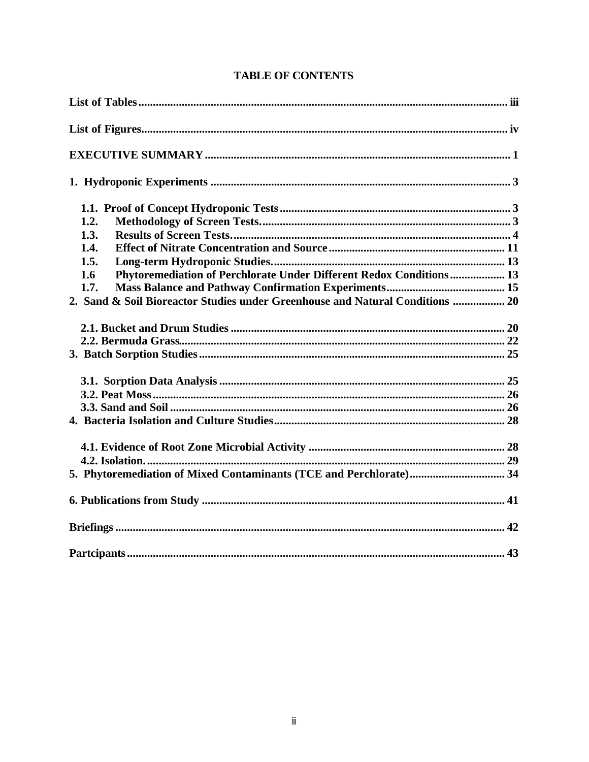| 1.2.                                                                          |
|-------------------------------------------------------------------------------|
| 1.3.                                                                          |
| 1.4.                                                                          |
| 1.5.                                                                          |
| Phytoremediation of Perchlorate Under Different Redox Conditions 13<br>1.6    |
| 1.7.                                                                          |
| 2. Sand & Soil Bioreactor Studies under Greenhouse and Natural Conditions  20 |
|                                                                               |
|                                                                               |
|                                                                               |
|                                                                               |
|                                                                               |
|                                                                               |
|                                                                               |
|                                                                               |
|                                                                               |
|                                                                               |
|                                                                               |
|                                                                               |
|                                                                               |

# **TABLE OF CONTENTS**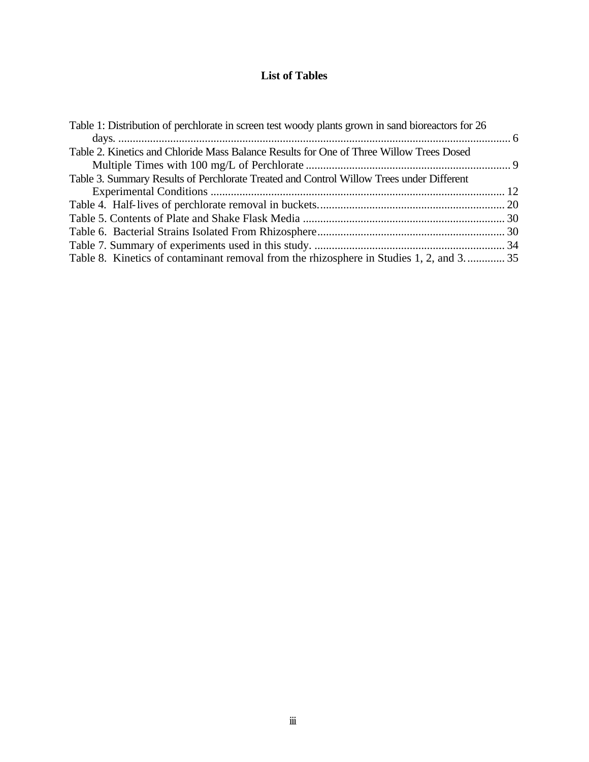# **List of Tables**

| Table 1: Distribution of perchlorate in screen test woody plants grown in sand bioreactors for 26 |  |
|---------------------------------------------------------------------------------------------------|--|
|                                                                                                   |  |
| Table 2. Kinetics and Chloride Mass Balance Results for One of Three Willow Trees Dosed           |  |
|                                                                                                   |  |
| Table 3. Summary Results of Perchlorate Treated and Control Willow Trees under Different          |  |
|                                                                                                   |  |
|                                                                                                   |  |
|                                                                                                   |  |
|                                                                                                   |  |
|                                                                                                   |  |
| Table 8. Kinetics of contaminant removal from the rhizosphere in Studies 1, 2, and 3 35           |  |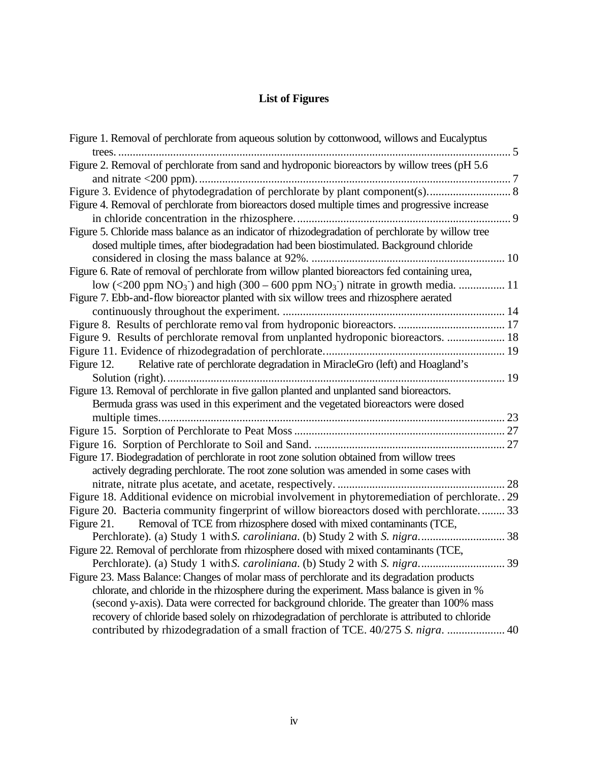# **List of Figures**

| Figure 1. Removal of perchlorate from aqueous solution by cottonwood, willows and Eucalyptus      |              |
|---------------------------------------------------------------------------------------------------|--------------|
|                                                                                                   | $\ldots$ . 5 |
| Figure 2. Removal of perchlorate from sand and hydroponic bioreactors by willow trees (pH 5.6     |              |
|                                                                                                   |              |
|                                                                                                   |              |
| Figure 4. Removal of perchlorate from bioreactors dosed multiple times and progressive increase   |              |
| in chloride concentration in the rhizosphere                                                      | 9            |
| Figure 5. Chloride mass balance as an indicator of rhizodegradation of perchlorate by willow tree |              |
| dosed multiple times, after biodegradation had been biostimulated. Background chloride            |              |
|                                                                                                   |              |
| Figure 6. Rate of removal of perchlorate from willow planted bioreactors fed containing urea,     |              |
| low (<200 ppm $NO_3$ ) and high (300 – 600 ppm $NO_3$ ) nitrate in growth media.  11              |              |
| Figure 7. Ebb-and-flow bioreactor planted with six willow trees and rhizosphere aerated           |              |
|                                                                                                   |              |
|                                                                                                   |              |
| Figure 9. Results of perchlorate removal from unplanted hydroponic bioreactors.  18               |              |
|                                                                                                   |              |
| Relative rate of perchlorate degradation in MiracleGro (left) and Hoagland's<br>Figure 12.        |              |
| Solution (right)                                                                                  |              |
| Figure 13. Removal of perchlorate in five gallon planted and unplanted sand bioreactors.          |              |
| Bermuda grass was used in this experiment and the vegetated bioreactors were dosed                |              |
|                                                                                                   |              |
|                                                                                                   |              |
|                                                                                                   |              |
| Figure 17. Biodegradation of perchlorate in root zone solution obtained from willow trees         |              |
| actively degrading perchlorate. The root zone solution was amended in some cases with             |              |
|                                                                                                   | 28           |
| Figure 18. Additional evidence on microbial involvement in phytoremediation of perchlorate 29     |              |
| Figure 20. Bacteria community fingerprint of willow bioreactors dosed with perchlorate 33         |              |
| Figure 21. Removal of TCE from rhizosphere dosed with mixed contaminants (TCE,                    |              |
|                                                                                                   |              |
| Figure 22. Removal of perchlorate from rhizosphere dosed with mixed contaminants (TCE,            |              |
| 39<br>Perchlorate). (a) Study 1 with S. caroliniana. (b) Study 2 with S. nigra                    |              |
| Figure 23. Mass Balance: Changes of molar mass of perchlorate and its degradation products        |              |
| chlorate, and chloride in the rhizosphere during the experiment. Mass balance is given in %       |              |
| (second y-axis). Data were corrected for background chloride. The greater than 100% mass          |              |
| recovery of chloride based solely on rhizodegradation of perchlorate is attributed to chloride    |              |
| contributed by rhizodegradation of a small fraction of TCE. 40/275 S. nigra.  40                  |              |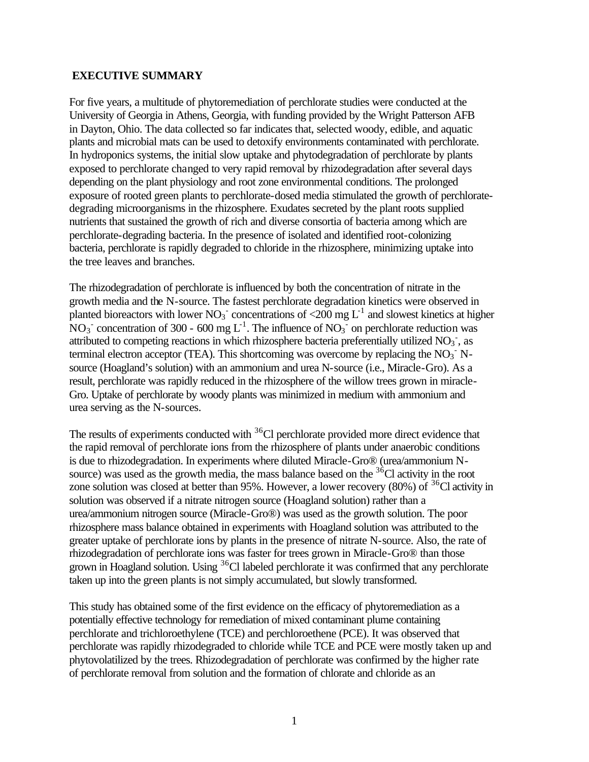#### **EXECUTIVE SUMMARY**

For five years, a multitude of phytoremediation of perchlorate studies were conducted at the University of Georgia in Athens, Georgia, with funding provided by the Wright Patterson AFB in Dayton, Ohio. The data collected so far indicates that, selected woody, edible, and aquatic plants and microbial mats can be used to detoxify environments contaminated with perchlorate. In hydroponics systems, the initial slow uptake and phytodegradation of perchlorate by plants exposed to perchlorate changed to very rapid removal by rhizodegradation after several days depending on the plant physiology and root zone environmental conditions. The prolonged exposure of rooted green plants to perchlorate-dosed media stimulated the growth of perchloratedegrading microorganisms in the rhizosphere. Exudates secreted by the plant roots supplied nutrients that sustained the growth of rich and diverse consortia of bacteria among which are perchlorate-degrading bacteria. In the presence of isolated and identified root-colonizing bacteria, perchlorate is rapidly degraded to chloride in the rhizosphere, minimizing uptake into the tree leaves and branches.

The rhizodegradation of perchlorate is influenced by both the concentration of nitrate in the growth media and the N-source. The fastest perchlorate degradation kinetics were observed in planted bioreactors with lower  $NO_3$ <sup>-</sup> concentrations of <200 mg L<sup>-1</sup> and slowest kinetics at higher NO<sub>3</sub><sup>-</sup> concentration of 300 - 600 mg L<sup>-1</sup>. The influence of NO<sub>3</sub><sup>-</sup> on perchlorate reduction was attributed to competing reactions in which rhizosphere bacteria preferentially utilized  $NO<sub>3</sub>$ , as terminal electron acceptor (TEA). This shortcoming was overcome by replacing the  $NO<sub>3</sub>$ . Nsource (Hoagland's solution) with an ammonium and urea N-source (i.e., Miracle-Gro). As a result, perchlorate was rapidly reduced in the rhizosphere of the willow trees grown in miracle-Gro. Uptake of perchlorate by woody plants was minimized in medium with ammonium and urea serving as the N-sources.

The results of experiments conducted with  $36$ Cl perchlorate provided more direct evidence that the rapid removal of perchlorate ions from the rhizosphere of plants under anaerobic conditions is due to rhizodegradation. In experiments where diluted Miracle-Gro® (urea/ammonium Nsource) was used as the growth media, the mass balance based on the  ${}^{36}Cl$  activity in the root zone solution was closed at better than 95%. However, a lower recovery  $(80%)$  of <sup>36</sup>Cl activity in solution was observed if a nitrate nitrogen source (Hoagland solution) rather than a urea/ammonium nitrogen source (Miracle-Gro®) was used as the growth solution. The poor rhizosphere mass balance obtained in experiments with Hoagland solution was attributed to the greater uptake of perchlorate ions by plants in the presence of nitrate N-source. Also, the rate of rhizodegradation of perchlorate ions was faster for trees grown in Miracle-Gro® than those grown in Hoagland solution. Using <sup>36</sup>Cl labeled perchlorate it was confirmed that any perchlorate taken up into the green plants is not simply accumulated, but slowly transformed.

This study has obtained some of the first evidence on the efficacy of phytoremediation as a potentially effective technology for remediation of mixed contaminant plume containing perchlorate and trichloroethylene (TCE) and perchloroethene (PCE). It was observed that perchlorate was rapidly rhizodegraded to chloride while TCE and PCE were mostly taken up and phytovolatilized by the trees. Rhizodegradation of perchlorate was confirmed by the higher rate of perchlorate removal from solution and the formation of chlorate and chloride as an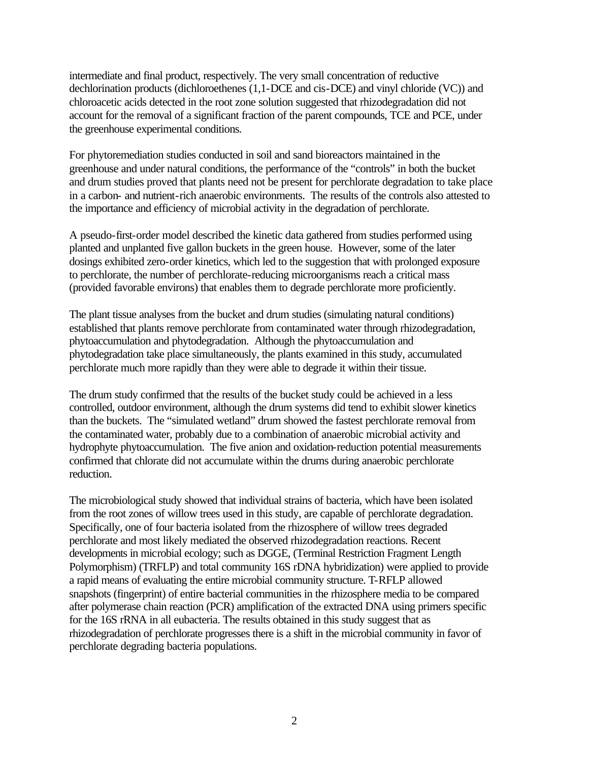intermediate and final product, respectively. The very small concentration of reductive dechlorination products (dichloroethenes (1,1-DCE and cis-DCE) and vinyl chloride (VC)) and chloroacetic acids detected in the root zone solution suggested that rhizodegradation did not account for the removal of a significant fraction of the parent compounds, TCE and PCE, under the greenhouse experimental conditions.

For phytoremediation studies conducted in soil and sand bioreactors maintained in the greenhouse and under natural conditions, the performance of the "controls" in both the bucket and drum studies proved that plants need not be present for perchlorate degradation to take place in a carbon- and nutrient-rich anaerobic environments. The results of the controls also attested to the importance and efficiency of microbial activity in the degradation of perchlorate.

A pseudo-first-order model described the kinetic data gathered from studies performed using planted and unplanted five gallon buckets in the green house. However, some of the later dosings exhibited zero-order kinetics, which led to the suggestion that with prolonged exposure to perchlorate, the number of perchlorate-reducing microorganisms reach a critical mass (provided favorable environs) that enables them to degrade perchlorate more proficiently.

The plant tissue analyses from the bucket and drum studies (simulating natural conditions) established that plants remove perchlorate from contaminated water through rhizodegradation, phytoaccumulation and phytodegradation. Although the phytoaccumulation and phytodegradation take place simultaneously, the plants examined in this study, accumulated perchlorate much more rapidly than they were able to degrade it within their tissue.

The drum study confirmed that the results of the bucket study could be achieved in a less controlled, outdoor environment, although the drum systems did tend to exhibit slower kinetics than the buckets. The "simulated wetland" drum showed the fastest perchlorate removal from the contaminated water, probably due to a combination of anaerobic microbial activity and hydrophyte phytoaccumulation. The five anion and oxidation-reduction potential measurements confirmed that chlorate did not accumulate within the drums during anaerobic perchlorate reduction.

The microbiological study showed that individual strains of bacteria, which have been isolated from the root zones of willow trees used in this study, are capable of perchlorate degradation. Specifically, one of four bacteria isolated from the rhizosphere of willow trees degraded perchlorate and most likely mediated the observed rhizodegradation reactions. Recent developments in microbial ecology; such as DGGE, (Terminal Restriction Fragment Length Polymorphism) (TRFLP) and total community 16S rDNA hybridization) were applied to provide a rapid means of evaluating the entire microbial community structure. T-RFLP allowed snapshots (fingerprint) of entire bacterial communities in the rhizosphere media to be compared after polymerase chain reaction (PCR) amplification of the extracted DNA using primers specific for the 16S rRNA in all eubacteria. The results obtained in this study suggest that as rhizodegradation of perchlorate progresses there is a shift in the microbial community in favor of perchlorate degrading bacteria populations.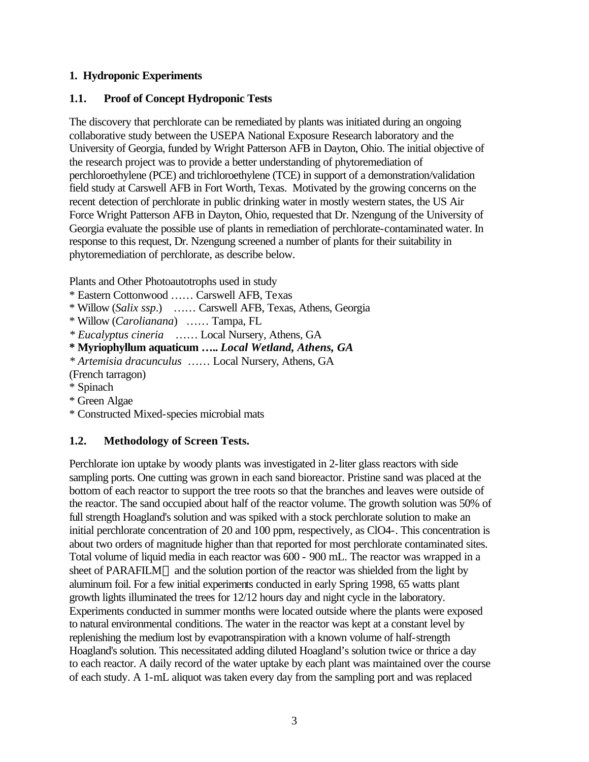#### **1. Hydroponic Experiments**

#### **1.1. Proof of Concept Hydroponic Tests**

The discovery that perchlorate can be remediated by plants was initiated during an ongoing collaborative study between the USEPA National Exposure Research laboratory and the University of Georgia, funded by Wright Patterson AFB in Dayton, Ohio. The initial objective of the research project was to provide a better understanding of phytoremediation of perchloroethylene (PCE) and trichloroethylene (TCE) in support of a demonstration/validation field study at Carswell AFB in Fort Worth, Texas. Motivated by the growing concerns on the recent detection of perchlorate in public drinking water in mostly western states, the US Air Force Wright Patterson AFB in Dayton, Ohio, requested that Dr. Nzengung of the University of Georgia evaluate the possible use of plants in remediation of perchlorate-contaminated water. In response to this request, Dr. Nzengung screened a number of plants for their suitability in phytoremediation of perchlorate, as describe below.

Plants and Other Photoautotrophs used in study

\* Willow (*Salix ssp*.) …… Carswell AFB, Texas, Athens, Georgia

\* Willow (*Carolianana*) …… Tampa, FL

*\* Eucalyptus cineria* …… Local Nursery, Athens, GA

**\* Myriophyllum aquaticum …..** *Local Wetland, Athens, GA*

*\* Artemisia dracunculus* …… Local Nursery, Athens, GA

(French tarragon)

- \* Spinach
- \* Green Algae

### **1.2. Methodology of Screen Tests.**

Perchlorate ion uptake by woody plants was investigated in 2-liter glass reactors with side sampling ports. One cutting was grown in each sand bioreactor. Pristine sand was placed at the bottom of each reactor to support the tree roots so that the branches and leaves were outside of the reactor. The sand occupied about half of the reactor volume. The growth solution was 50% of full strength Hoagland's solution and was spiked with a stock perchlorate solution to make an initial perchlorate concentration of 20 and 100 ppm, respectively, as ClO4-. This concentration is about two orders of magnitude higher than that reported for most perchlorate contaminated sites. Total volume of liquid media in each reactor was 600 - 900 mL. The reactor was wrapped in a sheet of PARAFILM® and the solution portion of the reactor was shielded from the light by aluminum foil. For a few initial experiments conducted in early Spring 1998, 65 watts plant growth lights illuminated the trees for 12/12 hours day and night cycle in the laboratory. Experiments conducted in summer months were located outside where the plants were exposed to natural environmental conditions. The water in the reactor was kept at a constant level by replenishing the medium lost by evapotranspiration with a known volume of half-strength Hoagland's solution. This necessitated adding diluted Hoagland's solution twice or thrice a day to each reactor. A daily record of the water uptake by each plant was maintained over the course of each study. A 1-mL aliquot was taken every day from the sampling port and was replaced

<sup>\*</sup> Eastern Cottonwood …… Carswell AFB, Texas

<sup>\*</sup> Constructed Mixed-species microbial mats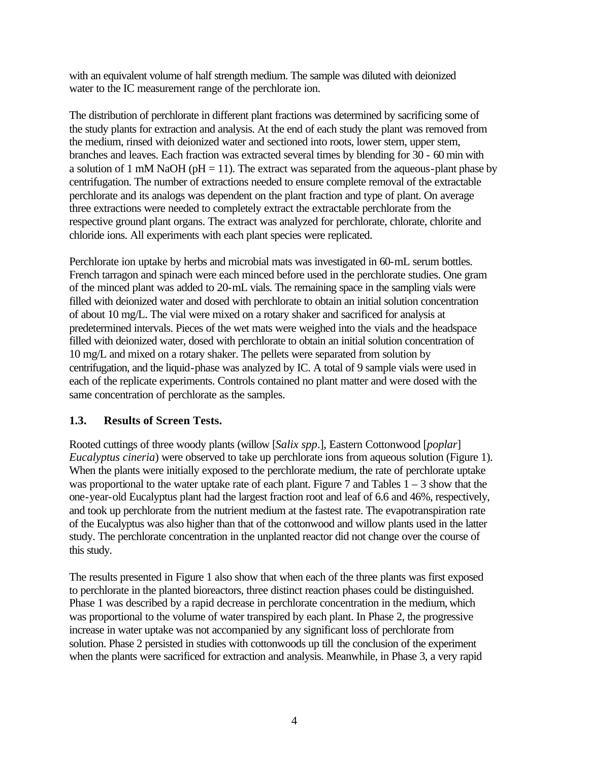with an equivalent volume of half strength medium. The sample was diluted with deionized water to the IC measurement range of the perchlorate ion.

The distribution of perchlorate in different plant fractions was determined by sacrificing some of the study plants for extraction and analysis. At the end of each study the plant was removed from the medium, rinsed with deionized water and sectioned into roots, lower stem, upper stem, branches and leaves. Each fraction was extracted several times by blending for 30 - 60 min with a solution of 1 mM NaOH ( $pH = 11$ ). The extract was separated from the aqueous-plant phase by centrifugation. The number of extractions needed to ensure complete removal of the extractable perchlorate and its analogs was dependent on the plant fraction and type of plant. On average three extractions were needed to completely extract the extractable perchlorate from the respective ground plant organs. The extract was analyzed for perchlorate, chlorate, chlorite and chloride ions. All experiments with each plant species were replicated.

Perchlorate ion uptake by herbs and microbial mats was investigated in 60-mL serum bottles. French tarragon and spinach were each minced before used in the perchlorate studies. One gram of the minced plant was added to 20-mL vials. The remaining space in the sampling vials were filled with deionized water and dosed with perchlorate to obtain an initial solution concentration of about 10 mg/L. The vial were mixed on a rotary shaker and sacrificed for analysis at predetermined intervals. Pieces of the wet mats were weighed into the vials and the headspace filled with deionized water, dosed with perchlorate to obtain an initial solution concentration of 10 mg/L and mixed on a rotary shaker. The pellets were separated from solution by centrifugation, and the liquid-phase was analyzed by IC. A total of 9 sample vials were used in each of the replicate experiments. Controls contained no plant matter and were dosed with the same concentration of perchlorate as the samples.

# **1.3. Results of Screen Tests.**

Rooted cuttings of three woody plants (willow [*Salix spp*.], Eastern Cottonwood [*poplar*] *Eucalyptus cineria*) were observed to take up perchlorate ions from aqueous solution (Figure 1). When the plants were initially exposed to the perchlorate medium, the rate of perchlorate uptake was proportional to the water uptake rate of each plant. Figure 7 and Tables  $1 - 3$  show that the one-year-old Eucalyptus plant had the largest fraction root and leaf of 6.6 and 46%, respectively, and took up perchlorate from the nutrient medium at the fastest rate. The evapotranspiration rate of the Eucalyptus was also higher than that of the cottonwood and willow plants used in the latter study. The perchlorate concentration in the unplanted reactor did not change over the course of this study.

The results presented in Figure 1 also show that when each of the three plants was first exposed to perchlorate in the planted bioreactors, three distinct reaction phases could be distinguished. Phase 1 was described by a rapid decrease in perchlorate concentration in the medium, which was proportional to the volume of water transpired by each plant. In Phase 2, the progressive increase in water uptake was not accompanied by any significant loss of perchlorate from solution. Phase 2 persisted in studies with cottonwoods up till the conclusion of the experiment when the plants were sacrificed for extraction and analysis. Meanwhile, in Phase 3, a very rapid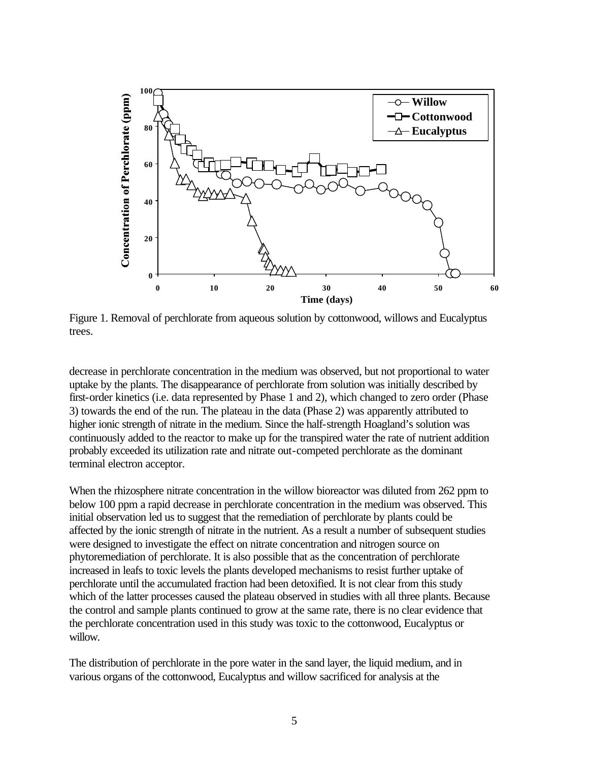

Figure 1. Removal of perchlorate from aqueous solution by cottonwood, willows and Eucalyptus trees.

decrease in perchlorate concentration in the medium was observed, but not proportional to water uptake by the plants. The disappearance of perchlorate from solution was initially described by first-order kinetics (i.e. data represented by Phase 1 and 2), which changed to zero order (Phase 3) towards the end of the run. The plateau in the data (Phase 2) was apparently attributed to higher ionic strength of nitrate in the medium. Since the half-strength Hoagland's solution was continuously added to the reactor to make up for the transpired water the rate of nutrient addition probably exceeded its utilization rate and nitrate out-competed perchlorate as the dominant terminal electron acceptor.

When the rhizosphere nitrate concentration in the willow bioreactor was diluted from 262 ppm to below 100 ppm a rapid decrease in perchlorate concentration in the medium was observed. This initial observation led us to suggest that the remediation of perchlorate by plants could be affected by the ionic strength of nitrate in the nutrient. As a result a number of subsequent studies were designed to investigate the effect on nitrate concentration and nitrogen source on phytoremediation of perchlorate. It is also possible that as the concentration of perchlorate increased in leafs to toxic levels the plants developed mechanisms to resist further uptake of perchlorate until the accumulated fraction had been detoxified. It is not clear from this study which of the latter processes caused the plateau observed in studies with all three plants. Because the control and sample plants continued to grow at the same rate, there is no clear evidence that the perchlorate concentration used in this study was toxic to the cottonwood, Eucalyptus or willow.

The distribution of perchlorate in the pore water in the sand layer, the liquid medium, and in various organs of the cottonwood, Eucalyptus and willow sacrificed for analysis at the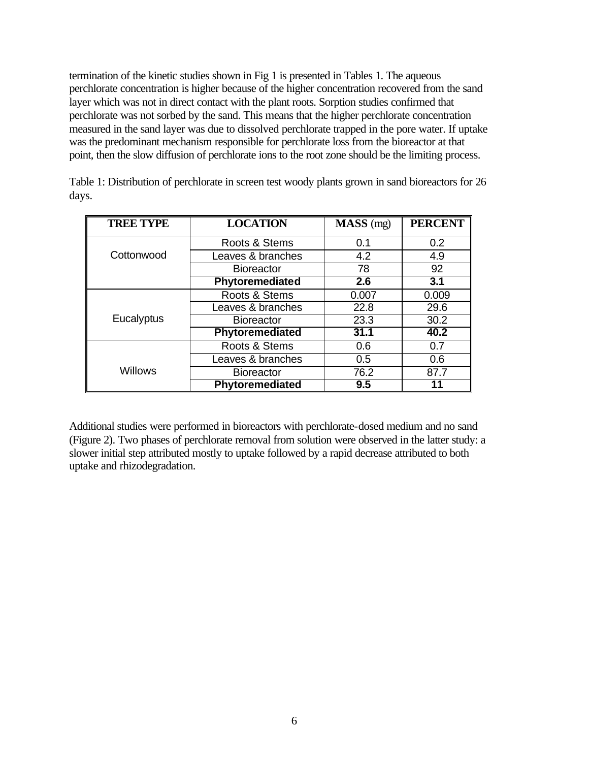termination of the kinetic studies shown in Fig 1 is presented in Tables 1. The aqueous perchlorate concentration is higher because of the higher concentration recovered from the sand layer which was not in direct contact with the plant roots. Sorption studies confirmed that perchlorate was not sorbed by the sand. This means that the higher perchlorate concentration measured in the sand layer was due to dissolved perchlorate trapped in the pore water. If uptake was the predominant mechanism responsible for perchlorate loss from the bioreactor at that point, then the slow diffusion of perchlorate ions to the root zone should be the limiting process.

| <b>TREE TYPE</b> | <b>LOCATION</b>   | <b>MASS</b> (mg) | <b>PERCENT</b>   |
|------------------|-------------------|------------------|------------------|
|                  | Roots & Stems     | 0.1              | 0.2              |
| Cottonwood       | Leaves & branches | 4.2              | 4.9              |
|                  | <b>Bioreactor</b> | 78               | 92               |
|                  | Phytoremediated   | 2.6              | $\overline{3.1}$ |
|                  | Roots & Stems     | 0.007            | 0.009            |
|                  | Leaves & branches | 22.8             | 29.6             |
| Eucalyptus       | <b>Bioreactor</b> | 23.3             | 30.2             |
|                  | Phytoremediated   | 31.1             | 40.2             |
|                  | Roots & Stems     | 0.6              | 0.7              |
|                  | Leaves & branches | 0.5              | 0.6              |
| <b>Willows</b>   | <b>Bioreactor</b> | 76.2             | 87.7             |
|                  | Phytoremediated   | 9.5              |                  |

Table 1: Distribution of perchlorate in screen test woody plants grown in sand bioreactors for 26 days.

Additional studies were performed in bioreactors with perchlorate-dosed medium and no sand (Figure 2). Two phases of perchlorate removal from solution were observed in the latter study: a slower initial step attributed mostly to uptake followed by a rapid decrease attributed to both uptake and rhizodegradation.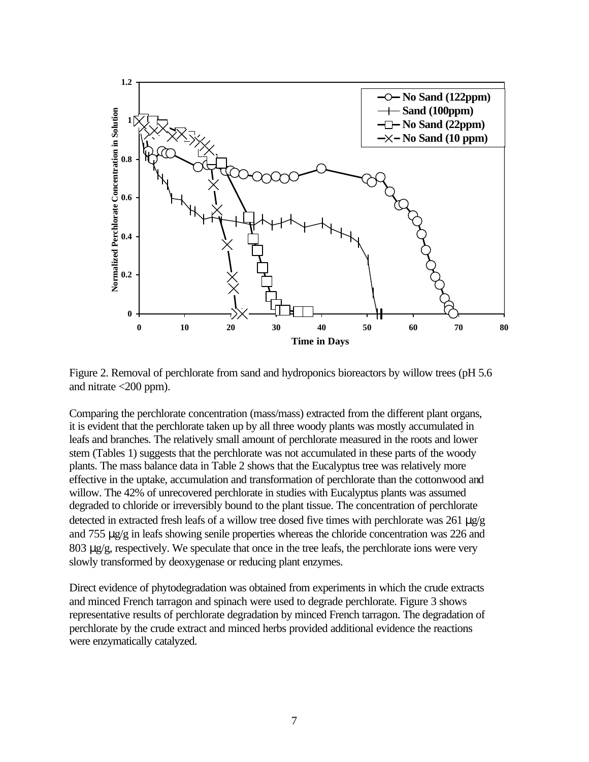

Figure 2. Removal of perchlorate from sand and hydroponics bioreactors by willow trees (pH 5.6 and nitrate  $\langle 200 \text{ ppm} \rangle$ .

Comparing the perchlorate concentration (mass/mass) extracted from the different plant organs, it is evident that the perchlorate taken up by all three woody plants was mostly accumulated in leafs and branches. The relatively small amount of perchlorate measured in the roots and lower stem (Tables 1) suggests that the perchlorate was not accumulated in these parts of the woody plants. The mass balance data in Table 2 shows that the Eucalyptus tree was relatively more effective in the uptake, accumulation and transformation of perchlorate than the cottonwood and willow. The 42% of unrecovered perchlorate in studies with Eucalyptus plants was assumed degraded to chloride or irreversibly bound to the plant tissue. The concentration of perchlorate detected in extracted fresh leafs of a willow tree dosed five times with perchlorate was 261 μg/g and 755 μg/g in leafs showing senile properties whereas the chloride concentration was 226 and 803  $\mu$ g/g, respectively. We speculate that once in the tree leafs, the perchlorate ions were very slowly transformed by deoxygenase or reducing plant enzymes.

Direct evidence of phytodegradation was obtained from experiments in which the crude extracts and minced French tarragon and spinach were used to degrade perchlorate. Figure 3 shows representative results of perchlorate degradation by minced French tarragon. The degradation of perchlorate by the crude extract and minced herbs provided additional evidence the reactions were enzymatically catalyzed.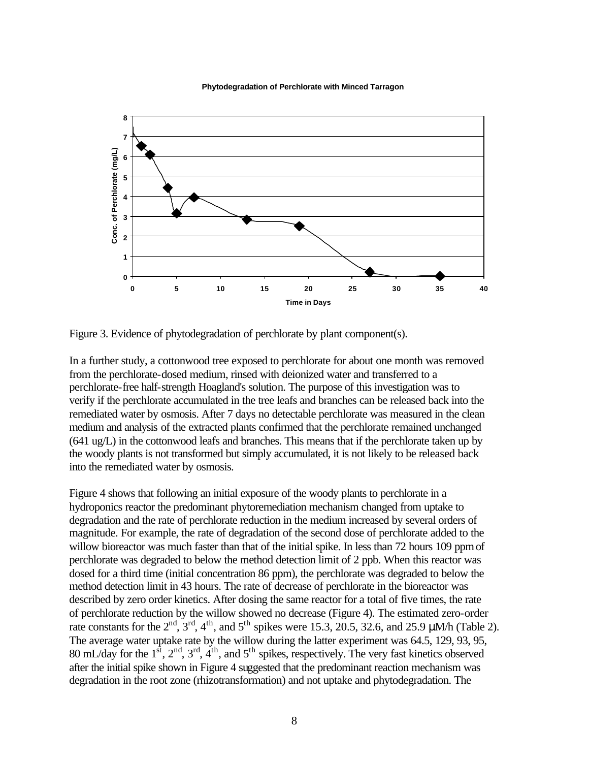#### **Phytodegradation of Perchlorate with Minced Tarragon**



Figure 3. Evidence of phytodegradation of perchlorate by plant component(s).

In a further study, a cottonwood tree exposed to perchlorate for about one month was removed from the perchlorate-dosed medium, rinsed with deionized water and transferred to a perchlorate-free half-strength Hoagland's solution. The purpose of this investigation was to verify if the perchlorate accumulated in the tree leafs and branches can be released back into the remediated water by osmosis. After 7 days no detectable perchlorate was measured in the clean medium and analysis of the extracted plants confirmed that the perchlorate remained unchanged (641 ug/L) in the cottonwood leafs and branches. This means that if the perchlorate taken up by the woody plants is not transformed but simply accumulated, it is not likely to be released back into the remediated water by osmosis.

Figure 4 shows that following an initial exposure of the woody plants to perchlorate in a hydroponics reactor the predominant phytoremediation mechanism changed from uptake to degradation and the rate of perchlorate reduction in the medium increased by several orders of magnitude. For example, the rate of degradation of the second dose of perchlorate added to the willow bioreactor was much faster than that of the initial spike. In less than 72 hours 109 ppm of perchlorate was degraded to below the method detection limit of 2 ppb. When this reactor was dosed for a third time (initial concentration 86 ppm), the perchlorate was degraded to below the method detection limit in 43 hours. The rate of decrease of perchlorate in the bioreactor was described by zero order kinetics. After dosing the same reactor for a total of five times, the rate of perchlorate reduction by the willow showed no decrease (Figure 4). The estimated zero-order rate constants for the  $2<sup>nd</sup>$ ,  $3<sup>rd</sup>$ ,  $4<sup>th</sup>$ , and  $5<sup>th</sup>$  spikes were 15.3, 20.5, 32.6, and 25.9  $\mu$ M/h (Table 2). The average water uptake rate by the willow during the latter experiment was 64.5, 129, 93, 95, 80 mL/day for the  $1^{st}$ ,  $2^{nd}$ ,  $3^{rd}$ ,  $4^{th}$ , and  $5^{th}$  spikes, respectively. The very fast kinetics observed after the initial spike shown in Figure 4 suggested that the predominant reaction mechanism was degradation in the root zone (rhizotransformation) and not uptake and phytodegradation. The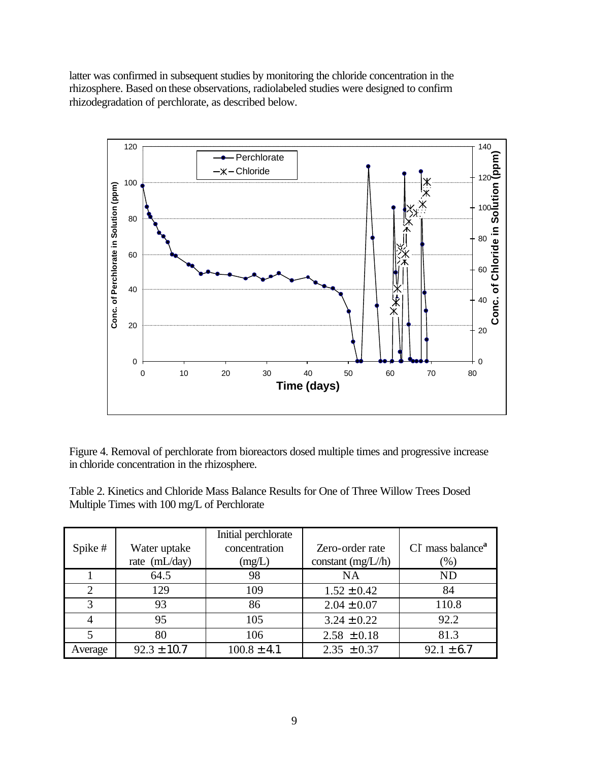latter was confirmed in subsequent studies by monitoring the chloride concentration in the rhizosphere. Based on these observations, radiolabeled studies were designed to confirm rhizodegradation of perchlorate, as described below.



Figure 4. Removal of perchlorate from bioreactors dosed multiple times and progressive increase in chloride concentration in the rhizosphere.

Table 2. Kinetics and Chloride Mass Balance Results for One of Three Willow Trees Dosed Multiple Times with 100 mg/L of Perchlorate

|         |                 | Initial perchlorate |                     |                                             |
|---------|-----------------|---------------------|---------------------|---------------------------------------------|
| Spike # | Water uptake    | concentration       | Zero-order rate     | $CI$ mass balance <sup><math>a</math></sup> |
|         | rate (mL/day)   | (mg/L)              | constant $(mg/L/h)$ | $(\%)$                                      |
|         | 64.5            | 98                  | <b>NA</b>           | <b>ND</b>                                   |
| 2       | 129             | 109                 | $1.52 \pm 0.42$     | 84                                          |
| 3       | 93              | 86                  | $2.04 \pm 0.07$     | 110.8                                       |
|         | 95              | 105                 | $3.24 \pm 0.22$     | 92.2                                        |
| 5       | 80              | 106                 | $2.58 \pm 0.18$     | 81.3                                        |
| Average | $92.3 \pm 10.7$ | $100.8 \pm 4.1$     | $2.35 \pm 0.37$     | $92.1 \pm 6.7$                              |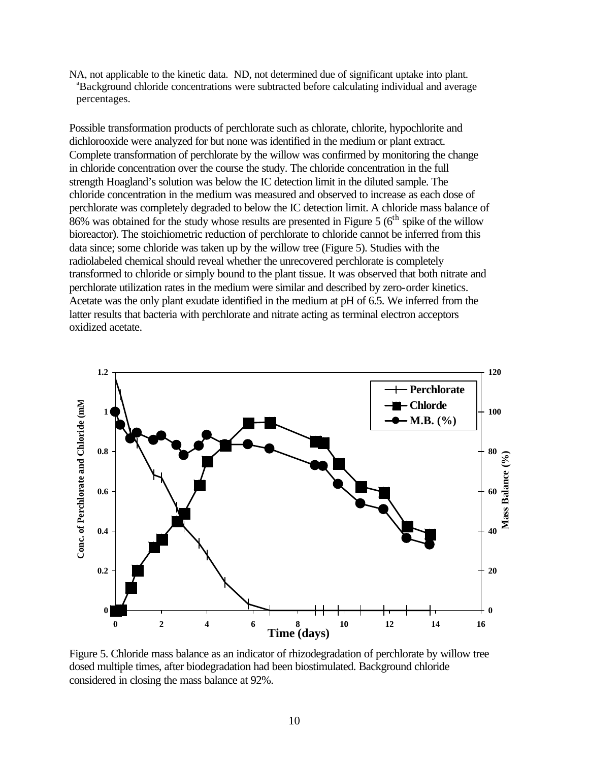NA, not applicable to the kinetic data. ND, not determined due of significant uptake into plant. <sup>a</sup>Background chloride concentrations were subtracted before calculating individual and average percentages.

Possible transformation products of perchlorate such as chlorate, chlorite, hypochlorite and dichlorooxide were analyzed for but none was identified in the medium or plant extract. Complete transformation of perchlorate by the willow was confirmed by monitoring the change in chloride concentration over the course the study. The chloride concentration in the full strength Hoagland's solution was below the IC detection limit in the diluted sample. The chloride concentration in the medium was measured and observed to increase as each dose of perchlorate was completely degraded to below the IC detection limit. A chloride mass balance of 86% was obtained for the study whose results are presented in Figure 5 ( $6<sup>th</sup>$  spike of the willow bioreactor). The stoichiometric reduction of perchlorate to chloride cannot be inferred from this data since; some chloride was taken up by the willow tree (Figure 5). Studies with the radiolabeled chemical should reveal whether the unrecovered perchlorate is completely transformed to chloride or simply bound to the plant tissue. It was observed that both nitrate and perchlorate utilization rates in the medium were similar and described by zero-order kinetics. Acetate was the only plant exudate identified in the medium at pH of 6.5. We inferred from the latter results that bacteria with perchlorate and nitrate acting as terminal electron acceptors oxidized acetate.



Figure 5. Chloride mass balance as an indicator of rhizodegradation of perchlorate by willow tree dosed multiple times, after biodegradation had been biostimulated. Background chloride considered in closing the mass balance at 92%.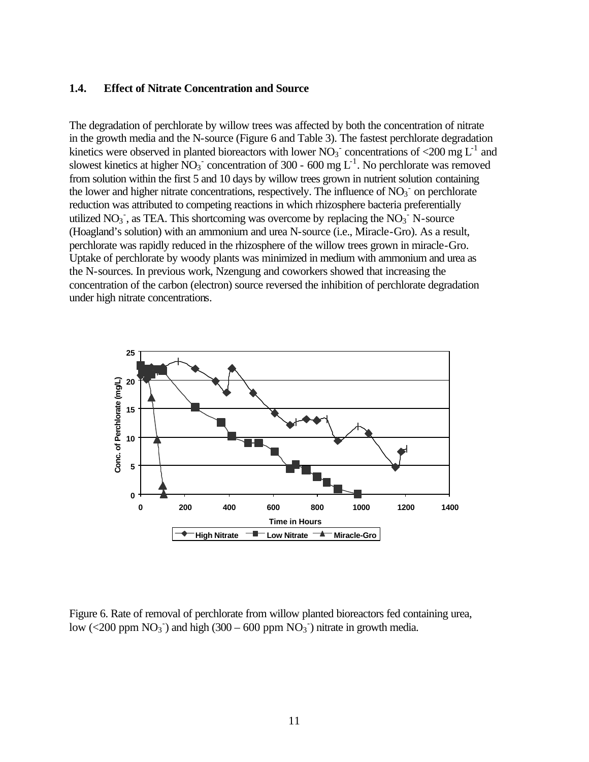#### **1.4. Effect of Nitrate Concentration and Source**

The degradation of perchlorate by willow trees was affected by both the concentration of nitrate in the growth media and the N-source (Figure 6 and Table 3). The fastest perchlorate degradation kinetics were observed in planted bioreactors with lower  $NO<sub>3</sub>$  concentrations of <200 mg L<sup>-1</sup> and slowest kinetics at higher  $\text{NO}_3^-$  concentration of 300 - 600 mg  $\text{L}^{\text{-}1}$ . No perchlorate was removed from solution within the first 5 and 10 days by willow trees grown in nutrient solution containing the lower and higher nitrate concentrations, respectively. The influence of  $NO<sub>3</sub>$  on perchlorate reduction was attributed to competing reactions in which rhizosphere bacteria preferentially utilized  $NO_3^-$ , as TEA. This shortcoming was overcome by replacing the  $NO_3^-$  N-source (Hoagland's solution) with an ammonium and urea N-source (i.e., Miracle-Gro). As a result, perchlorate was rapidly reduced in the rhizosphere of the willow trees grown in miracle-Gro. Uptake of perchlorate by woody plants was minimized in medium with ammonium and urea as the N-sources. In previous work, Nzengung and coworkers showed that increasing the concentration of the carbon (electron) source reversed the inhibition of perchlorate degradation under high nitrate concentrations.



Figure 6. Rate of removal of perchlorate from willow planted bioreactors fed containing urea, low (<200 ppm  $NO_3^-$ ) and high (300 – 600 ppm  $NO_3^-$ ) nitrate in growth media.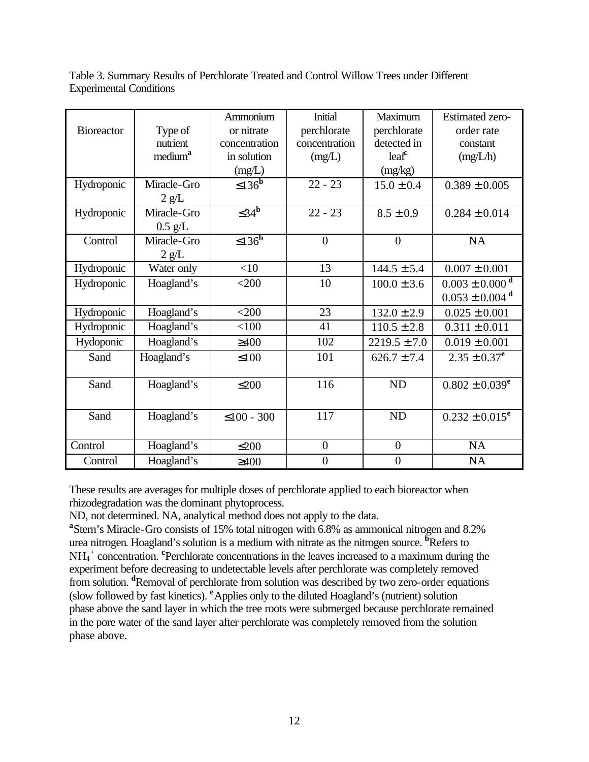Table 3. Summary Results of Perchlorate Treated and Control Willow Trees under Different Experimental Conditions

|                   |                     | Ammonium              | <b>Initial</b>   | Maximum          | <b>Estimated zero-</b>         |
|-------------------|---------------------|-----------------------|------------------|------------------|--------------------------------|
| <b>Bioreactor</b> | Type of             | or nitrate            | perchlorate      | perchlorate      | order rate                     |
|                   | nutrient            | concentration         | concentration    | detected in      | constant                       |
|                   | medium <sup>a</sup> | in solution           | (mg/L)           | $leaf^c$         | (mg/L/h)                       |
|                   |                     | (mg/L)                |                  | (mg/kg)          |                                |
| Hydroponic        | Miracle-Gro         | $\leq 13\overline{6}$ | $22 - 23$        | $15.0 \pm 0.4$   | $0.389 \pm 0.005$              |
|                   | 2 g/L               |                       |                  |                  |                                |
| Hydroponic        | Miracle-Gro         | $\leq 34^{\rm b}$     | $22 - 23$        | $8.5 \pm 0.9$    | $0.284 \pm 0.014$              |
|                   | $0.5 \text{ g/L}$   |                       |                  |                  |                                |
| Control           | Miracle-Gro         | $\leq 136^b$          | $\overline{0}$   | $\overline{0}$   | NA                             |
|                   | 2 g/L               |                       |                  |                  |                                |
| Hydroponic        | Water only          | <10                   | 13               | $144.5 \pm 5.4$  | $0.007 \pm 0.001$              |
| Hydroponic        | Hoagland's          | $<$ 200               | 10               | $100.0 \pm 3.6$  | $0.003 \pm 0.000$ <sup>d</sup> |
|                   |                     |                       |                  |                  | $0.053 \pm 0.004$ <sup>d</sup> |
| Hydroponic        | Hoagland's          | $<$ 200               | 23               | $132.0 \pm 2.9$  | $0.025 \pm 0.001$              |
| Hydroponic        | Hoagland's          | < 100                 | 41               | $110.5 \pm 2.8$  | $0.311 \pm 0.011$              |
| Hydoponic         | Hoagland's          | $\geq 400$            | 102              | $2219.5 \pm 7.0$ | $0.019 \pm 0.001$              |
| Sand              | Hoagland's          | $\leq 100$            | 101              | $626.7 \pm 7.4$  | $2.35 \pm 0.37^e$              |
|                   |                     |                       |                  |                  |                                |
| Sand              | Hoagland's          | $\leq$ 200            | 116              | <b>ND</b>        | $0.802 \pm 0.039^e$            |
|                   |                     |                       |                  |                  |                                |
| Sand              | Hoagland's          | $\leq 100 - 300$      | 117              | ND               | $0.232 \pm 0.015^e$            |
|                   |                     |                       |                  |                  |                                |
| Control           | Hoagland's          | $\leq$ 200            | $\boldsymbol{0}$ | $\overline{0}$   | NA                             |
| Control           | Hoagland's          | $\geq 400$            | $\boldsymbol{0}$ | $\boldsymbol{0}$ | NA                             |

These results are averages for multiple doses of perchlorate applied to each bioreactor when rhizodegradation was the dominant phytoprocess.

ND, not determined. NA, analytical method does not apply to the data.

**a** Stern's Miracle-Gro consists of 15% total nitrogen with 6.8% as ammonical nitrogen and 8.2% urea nitrogen. Hoagland's solution is a medium with nitrate as the nitrogen source. **<sup>b</sup>**Refers to NH<sub>4</sub><sup>+</sup> concentration. <sup>c</sup>Perchlorate concentrations in the leaves increased to a maximum during the experiment before decreasing to undetectable levels after perchlorate was completely removed from solution. **<sup>d</sup>**Removal of perchlorate from solution was described by two zero-order equations (slow followed by fast kinetics). **<sup>e</sup>**Applies only to the diluted Hoagland's (nutrient) solution phase above the sand layer in which the tree roots were submerged because perchlorate remained in the pore water of the sand layer after perchlorate was completely removed from the solution phase above.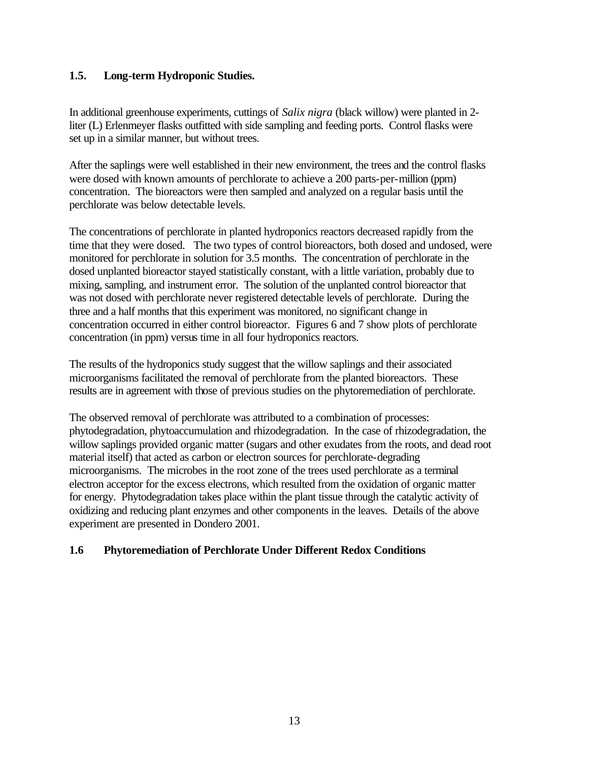#### **1.5. Long-term Hydroponic Studies.**

In additional greenhouse experiments, cuttings of *Salix nigra* (black willow) were planted in 2 liter (L) Erlenmeyer flasks outfitted with side sampling and feeding ports. Control flasks were set up in a similar manner, but without trees.

After the saplings were well established in their new environment, the trees and the control flasks were dosed with known amounts of perchlorate to achieve a 200 parts-per-million (ppm) concentration. The bioreactors were then sampled and analyzed on a regular basis until the perchlorate was below detectable levels.

The concentrations of perchlorate in planted hydroponics reactors decreased rapidly from the time that they were dosed. The two types of control bioreactors, both dosed and undosed, were monitored for perchlorate in solution for 3.5 months. The concentration of perchlorate in the dosed unplanted bioreactor stayed statistically constant, with a little variation, probably due to mixing, sampling, and instrument error. The solution of the unplanted control bioreactor that was not dosed with perchlorate never registered detectable levels of perchlorate. During the three and a half months that this experiment was monitored, no significant change in concentration occurred in either control bioreactor. Figures 6 and 7 show plots of perchlorate concentration (in ppm) versus time in all four hydroponics reactors.

The results of the hydroponics study suggest that the willow saplings and their associated microorganisms facilitated the removal of perchlorate from the planted bioreactors. These results are in agreement with those of previous studies on the phytoremediation of perchlorate.

The observed removal of perchlorate was attributed to a combination of processes: phytodegradation, phytoaccumulation and rhizodegradation. In the case of rhizodegradation, the willow saplings provided organic matter (sugars and other exudates from the roots, and dead root material itself) that acted as carbon or electron sources for perchlorate-degrading microorganisms. The microbes in the root zone of the trees used perchlorate as a terminal electron acceptor for the excess electrons, which resulted from the oxidation of organic matter for energy. Phytodegradation takes place within the plant tissue through the catalytic activity of oxidizing and reducing plant enzymes and other components in the leaves. Details of the above experiment are presented in Dondero 2001.

### **1.6 Phytoremediation of Perchlorate Under Different Redox Conditions**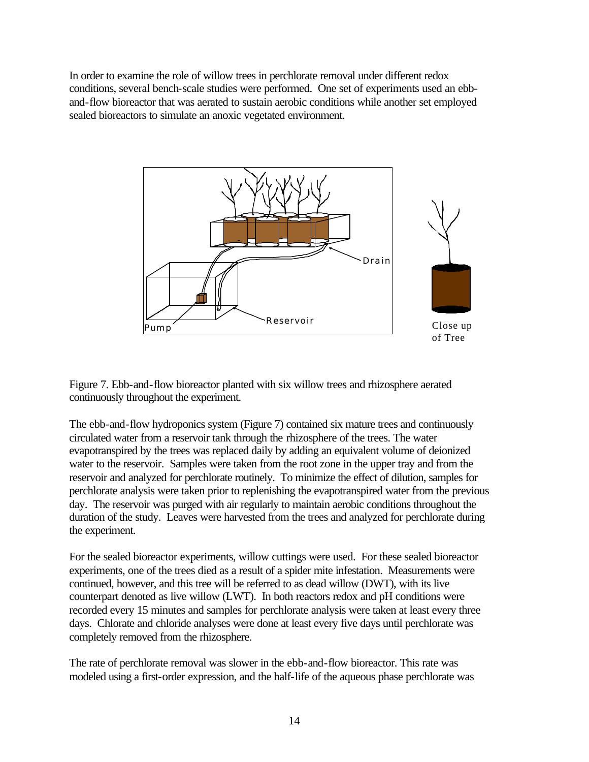In order to examine the role of willow trees in perchlorate removal under different redox conditions, several bench-scale studies were performed. One set of experiments used an ebband-flow bioreactor that was aerated to sustain aerobic conditions while another set employed sealed bioreactors to simulate an anoxic vegetated environment.



Figure 7. Ebb-and-flow bioreactor planted with six willow trees and rhizosphere aerated continuously throughout the experiment.

The ebb-and-flow hydroponics system (Figure 7) contained six mature trees and continuously circulated water from a reservoir tank through the rhizosphere of the trees. The water evapotranspired by the trees was replaced daily by adding an equivalent volume of deionized water to the reservoir. Samples were taken from the root zone in the upper tray and from the reservoir and analyzed for perchlorate routinely. To minimize the effect of dilution, samples for perchlorate analysis were taken prior to replenishing the evapotranspired water from the previous day. The reservoir was purged with air regularly to maintain aerobic conditions throughout the duration of the study. Leaves were harvested from the trees and analyzed for perchlorate during the experiment.

For the sealed bioreactor experiments, willow cuttings were used. For these sealed bioreactor experiments, one of the trees died as a result of a spider mite infestation. Measurements were continued, however, and this tree will be referred to as dead willow (DWT), with its live counterpart denoted as live willow (LWT). In both reactors redox and pH conditions were recorded every 15 minutes and samples for perchlorate analysis were taken at least every three days. Chlorate and chloride analyses were done at least every five days until perchlorate was completely removed from the rhizosphere.

The rate of perchlorate removal was slower in the ebb-and-flow bioreactor. This rate was modeled using a first-order expression, and the half-life of the aqueous phase perchlorate was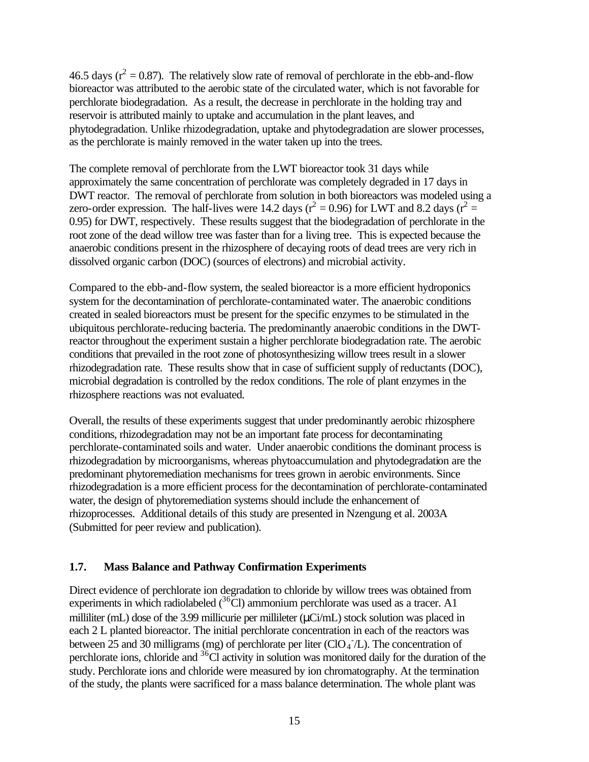46.5 days ( $r^2 = 0.87$ ). The relatively slow rate of removal of perchlorate in the ebb-and-flow bioreactor was attributed to the aerobic state of the circulated water, which is not favorable for perchlorate biodegradation. As a result, the decrease in perchlorate in the holding tray and reservoir is attributed mainly to uptake and accumulation in the plant leaves, and phytodegradation. Unlike rhizodegradation, uptake and phytodegradation are slower processes, as the perchlorate is mainly removed in the water taken up into the trees.

The complete removal of perchlorate from the LWT bioreactor took 31 days while approximately the same concentration of perchlorate was completely degraded in 17 days in DWT reactor. The removal of perchlorate from solution in both bioreactors was modeled using a zero-order expression. The half-lives were 14.2 days ( $r^2 = 0.96$ ) for LWT and 8.2 days ( $r^2 =$ 0.95) for DWT, respectively. These results suggest that the biodegradation of perchlorate in the root zone of the dead willow tree was faster than for a living tree. This is expected because the anaerobic conditions present in the rhizosphere of decaying roots of dead trees are very rich in dissolved organic carbon (DOC) (sources of electrons) and microbial activity.

Compared to the ebb-and-flow system, the sealed bioreactor is a more efficient hydroponics system for the decontamination of perchlorate-contaminated water. The anaerobic conditions created in sealed bioreactors must be present for the specific enzymes to be stimulated in the ubiquitous perchlorate-reducing bacteria. The predominantly anaerobic conditions in the DWTreactor throughout the experiment sustain a higher perchlorate biodegradation rate. The aerobic conditions that prevailed in the root zone of photosynthesizing willow trees result in a slower rhizodegradation rate. These results show that in case of sufficient supply of reductants (DOC), microbial degradation is controlled by the redox conditions. The role of plant enzymes in the rhizosphere reactions was not evaluated.

Overall, the results of these experiments suggest that under predominantly aerobic rhizosphere conditions, rhizodegradation may not be an important fate process for decontaminating perchlorate-contaminated soils and water. Under anaerobic conditions the dominant process is rhizodegradation by microorganisms, whereas phytoaccumulation and phytodegradation are the predominant phytoremediation mechanisms for trees grown in aerobic environments. Since rhizodegradation is a more efficient process for the decontamination of perchlorate-contaminated water, the design of phytoremediation systems should include the enhancement of rhizoprocesses. Additional details of this study are presented in Nzengung et al. 2003A (Submitted for peer review and publication).

### **1.7. Mass Balance and Pathway Confirmation Experiments**

Direct evidence of perchlorate ion degradation to chloride by willow trees was obtained from experiments in which radiolabeled  $(^{36}Cl)$  ammonium perchlorate was used as a tracer. A1 milliliter (mL) dose of the 3.99 millicurie per millileter (μCi/mL) stock solution was placed in each 2 L planted bioreactor. The initial perchlorate concentration in each of the reactors was between 25 and 30 milligrams (mg) of perchlorate per liter (ClO<sub>4</sub><sup>-</sup>/L). The concentration of perchlorate ions, chloride and <sup>36</sup>Cl activity in solution was monitored daily for the duration of the study. Perchlorate ions and chloride were measured by ion chromatography. At the termination of the study, the plants were sacrificed for a mass balance determination. The whole plant was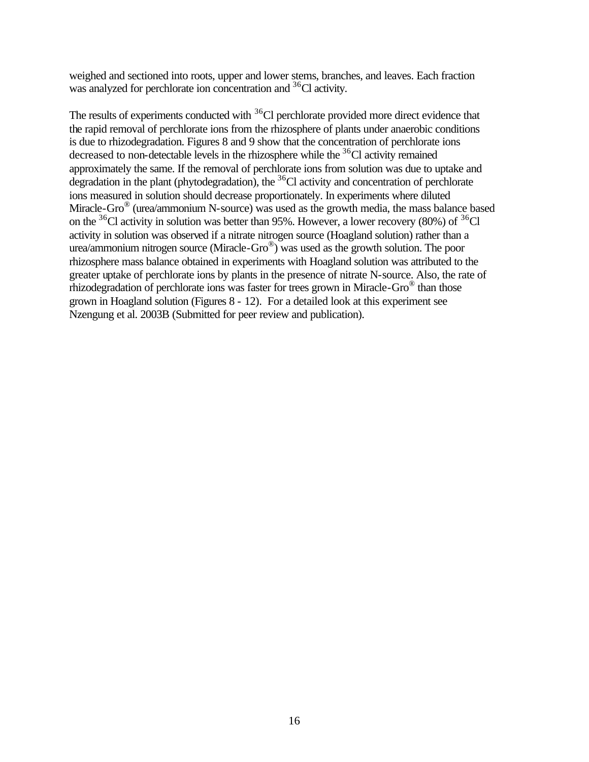weighed and sectioned into roots, upper and lower stems, branches, and leaves. Each fraction was analyzed for perchlorate ion concentration and <sup>36</sup>Cl activity.

The results of experiments conducted with <sup>36</sup>Cl perchlorate provided more direct evidence that the rapid removal of perchlorate ions from the rhizosphere of plants under anaerobic conditions is due to rhizodegradation. Figures 8 and 9 show that the concentration of perchlorate ions decreased to non-detectable levels in the rhizosphere while the  ${}^{36}$ Cl activity remained approximately the same. If the removal of perchlorate ions from solution was due to uptake and degradation in the plant (phytodegradation), the  ${}^{36}$ Cl activity and concentration of perchlorate ions measured in solution should decrease proportionately. In experiments where diluted Miracle-Gro<sup>®</sup> (urea/ammonium N-source) was used as the growth media, the mass balance based on the  ${}^{36}$ Cl activity in solution was better than 95%. However, a lower recovery (80%) of  ${}^{36}$ Cl activity in solution was observed if a nitrate nitrogen source (Hoagland solution) rather than a urea/ammonium nitrogen source (Miracle-Gro® ) was used as the growth solution. The poor rhizosphere mass balance obtained in experiments with Hoagland solution was attributed to the greater uptake of perchlorate ions by plants in the presence of nitrate N-source. Also, the rate of rhizodegradation of perchlorate ions was faster for trees grown in Miracle-Gro® than those grown in Hoagland solution (Figures 8 - 12). For a detailed look at this experiment see Nzengung et al. 2003B (Submitted for peer review and publication).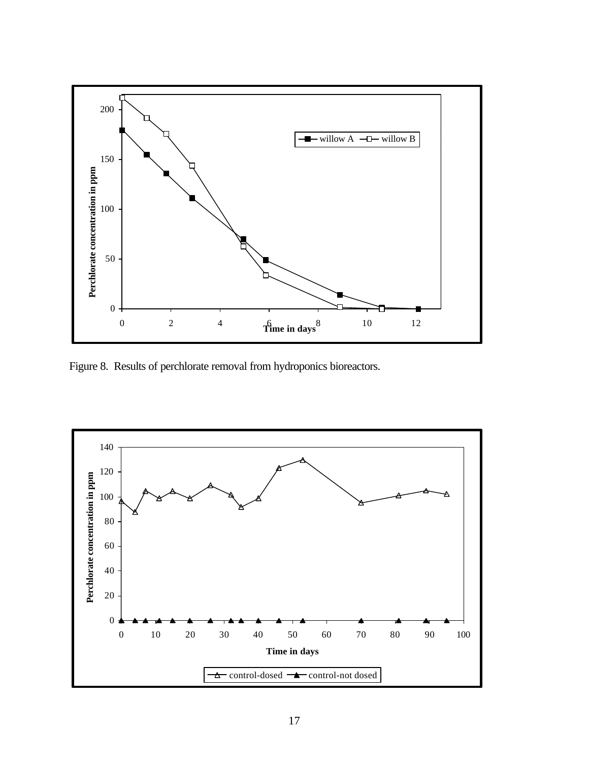

Figure 8. Results of perchlorate removal from hydroponics bioreactors.

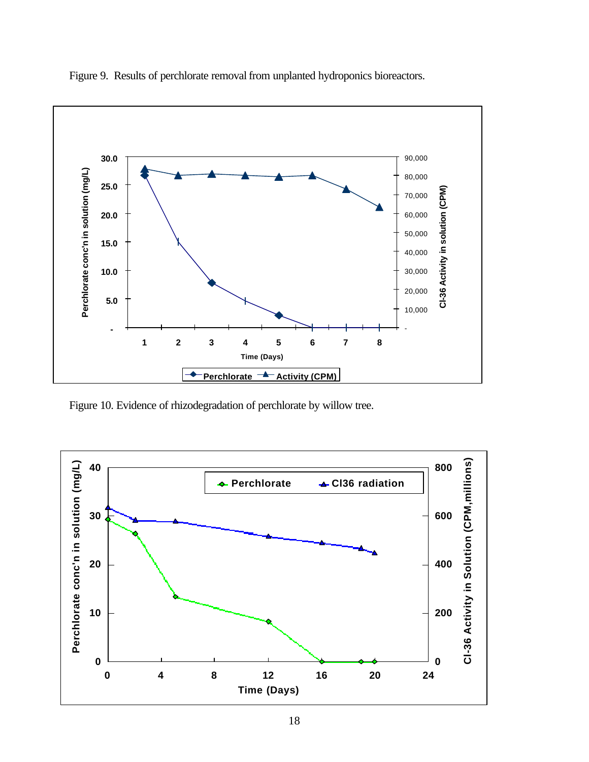

Figure 9. Results of perchlorate removal from unplanted hydroponics bioreactors.

Figure 10. Evidence of rhizodegradation of perchlorate by willow tree.

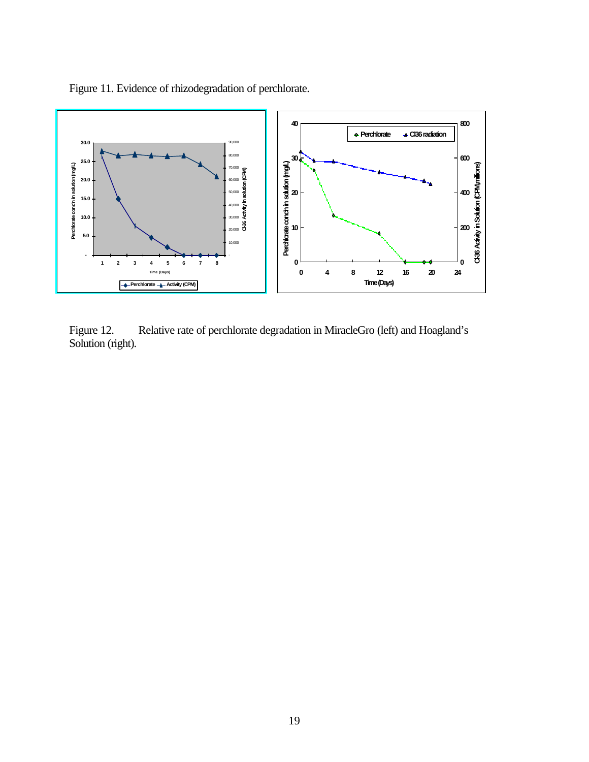Figure 11. Evidence of rhizodegradation of perchlorate.



Figure 12. Relative rate of perchlorate degradation in MiracleGro (left) and Hoagland's Solution (right).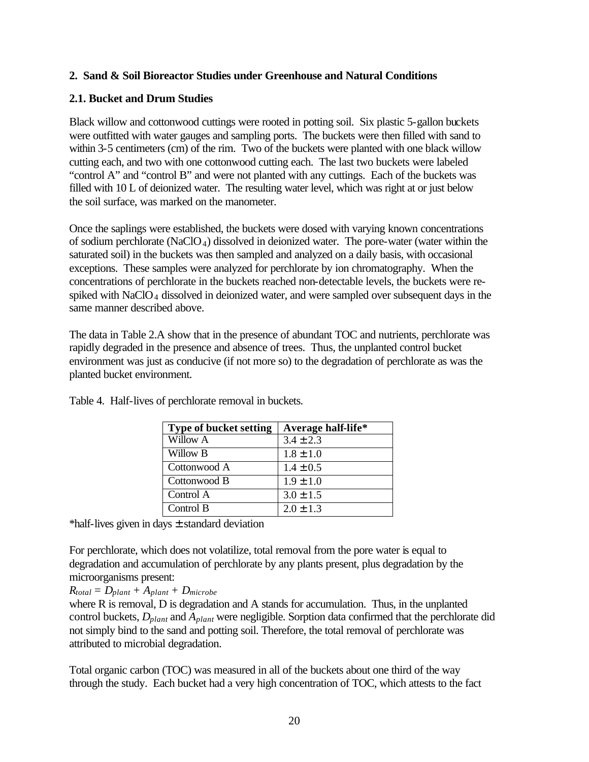#### **2. Sand & Soil Bioreactor Studies under Greenhouse and Natural Conditions**

#### **2.1. Bucket and Drum Studies**

Black willow and cottonwood cuttings were rooted in potting soil. Six plastic 5-gallon buckets were outfitted with water gauges and sampling ports. The buckets were then filled with sand to within 3-5 centimeters (cm) of the rim. Two of the buckets were planted with one black willow cutting each, and two with one cottonwood cutting each. The last two buckets were labeled "control A" and "control B" and were not planted with any cuttings. Each of the buckets was filled with 10 L of deionized water. The resulting water level, which was right at or just below the soil surface, was marked on the manometer.

Once the saplings were established, the buckets were dosed with varying known concentrations of sodium perchlorate  $(NaClO<sub>4</sub>)$  dissolved in deionized water. The pore-water (water within the saturated soil) in the buckets was then sampled and analyzed on a daily basis, with occasional exceptions. These samples were analyzed for perchlorate by ion chromatography. When the concentrations of perchlorate in the buckets reached non-detectable levels, the buckets were respiked with NaClO<sub>4</sub> dissolved in deionized water, and were sampled over subsequent days in the same manner described above.

The data in Table 2.A show that in the presence of abundant TOC and nutrients, perchlorate was rapidly degraded in the presence and absence of trees. Thus, the unplanted control bucket environment was just as conducive (if not more so) to the degradation of perchlorate as was the planted bucket environment.

| <b>Type of bucket setting</b> | Average half-life* |
|-------------------------------|--------------------|
| Willow A                      | $3.4 \pm 2.3$      |
| Willow B                      | $1.8 \pm 1.0$      |
| Cottonwood A                  | $1.4 \pm 0.5$      |
| Cottonwood B                  | $1.9 \pm 1.0$      |
| Control A                     | $3.0 \pm 1.5$      |
| Control B                     | $2.0 \pm 1.3$      |

Table 4. Half-lives of perchlorate removal in buckets.

\*half-lives given in days  $\pm$  standard deviation

For perchlorate, which does not volatilize, total removal from the pore water is equal to degradation and accumulation of perchlorate by any plants present, plus degradation by the microorganisms present:

 $R_{total} = D_{plant} + A_{plant} + D_{microbe}$ 

where R is removal, D is degradation and A stands for accumulation. Thus, in the unplanted control buckets, *Dplant* and *Aplant* were negligible. Sorption data confirmed that the perchlorate did not simply bind to the sand and potting soil. Therefore, the total removal of perchlorate was attributed to microbial degradation.

Total organic carbon (TOC) was measured in all of the buckets about one third of the way through the study. Each bucket had a very high concentration of TOC, which attests to the fact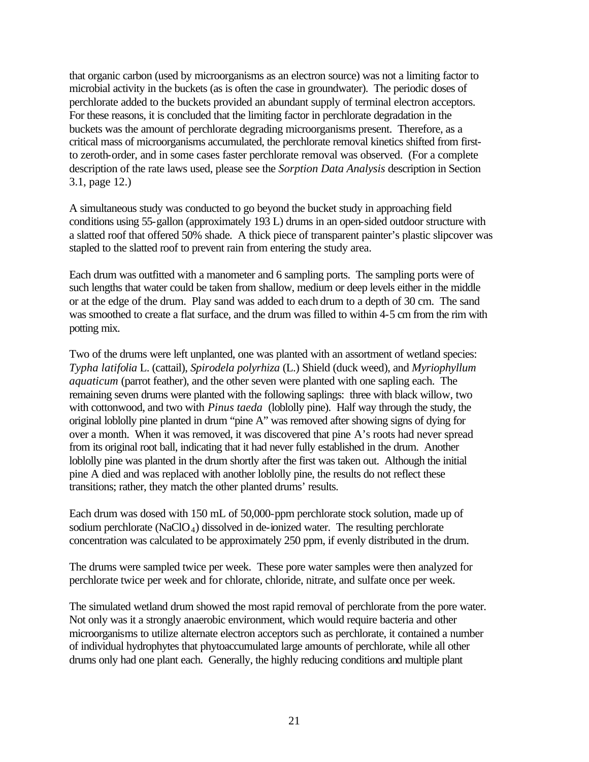that organic carbon (used by microorganisms as an electron source) was not a limiting factor to microbial activity in the buckets (as is often the case in groundwater). The periodic doses of perchlorate added to the buckets provided an abundant supply of terminal electron acceptors. For these reasons, it is concluded that the limiting factor in perchlorate degradation in the buckets was the amount of perchlorate degrading microorganisms present. Therefore, as a critical mass of microorganisms accumulated, the perchlorate removal kinetics shifted from firstto zeroth-order, and in some cases faster perchlorate removal was observed. (For a complete description of the rate laws used, please see the *Sorption Data Analysis* description in Section 3.1, page 12.)

A simultaneous study was conducted to go beyond the bucket study in approaching field conditions using 55-gallon (approximately 193 L) drums in an open-sided outdoor structure with a slatted roof that offered 50% shade. A thick piece of transparent painter's plastic slipcover was stapled to the slatted roof to prevent rain from entering the study area.

Each drum was outfitted with a manometer and 6 sampling ports. The sampling ports were of such lengths that water could be taken from shallow, medium or deep levels either in the middle or at the edge of the drum. Play sand was added to each drum to a depth of 30 cm. The sand was smoothed to create a flat surface, and the drum was filled to within 4-5 cm from the rim with potting mix.

Two of the drums were left unplanted, one was planted with an assortment of wetland species: *Typha latifolia* L. (cattail), *Spirodela polyrhiza* (L.) Shield (duck weed), and *Myriophyllum aquaticum* (parrot feather), and the other seven were planted with one sapling each. The remaining seven drums were planted with the following saplings: three with black willow, two with cottonwood, and two with *Pinus taeda* (loblolly pine). Half way through the study, the original loblolly pine planted in drum "pine A" was removed after showing signs of dying for over a month. When it was removed, it was discovered that pine A's roots had never spread from its original root ball, indicating that it had never fully established in the drum. Another loblolly pine was planted in the drum shortly after the first was taken out. Although the initial pine A died and was replaced with another loblolly pine, the results do not reflect these transitions; rather, they match the other planted drums' results.

Each drum was dosed with 150 mL of 50,000-ppm perchlorate stock solution, made up of sodium perchlorate  $(NaClO<sub>4</sub>)$  dissolved in de-ionized water. The resulting perchlorate concentration was calculated to be approximately 250 ppm, if evenly distributed in the drum.

The drums were sampled twice per week. These pore water samples were then analyzed for perchlorate twice per week and for chlorate, chloride, nitrate, and sulfate once per week.

The simulated wetland drum showed the most rapid removal of perchlorate from the pore water. Not only was it a strongly anaerobic environment, which would require bacteria and other microorganisms to utilize alternate electron acceptors such as perchlorate, it contained a number of individual hydrophytes that phytoaccumulated large amounts of perchlorate, while all other drums only had one plant each. Generally, the highly reducing conditions and multiple plant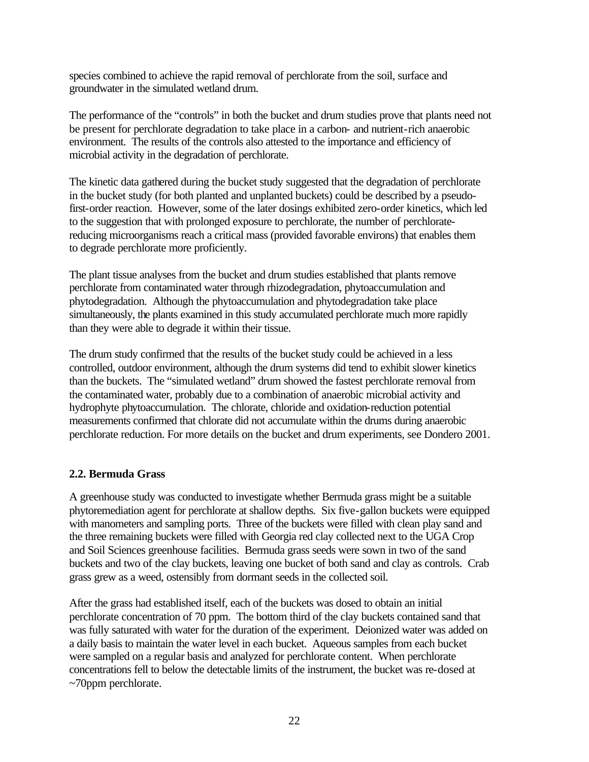species combined to achieve the rapid removal of perchlorate from the soil, surface and groundwater in the simulated wetland drum.

The performance of the "controls" in both the bucket and drum studies prove that plants need not be present for perchlorate degradation to take place in a carbon- and nutrient-rich anaerobic environment. The results of the controls also attested to the importance and efficiency of microbial activity in the degradation of perchlorate.

The kinetic data gathered during the bucket study suggested that the degradation of perchlorate in the bucket study (for both planted and unplanted buckets) could be described by a pseudofirst-order reaction. However, some of the later dosings exhibited zero-order kinetics, which led to the suggestion that with prolonged exposure to perchlorate, the number of perchloratereducing microorganisms reach a critical mass (provided favorable environs) that enables them to degrade perchlorate more proficiently.

The plant tissue analyses from the bucket and drum studies established that plants remove perchlorate from contaminated water through rhizodegradation, phytoaccumulation and phytodegradation. Although the phytoaccumulation and phytodegradation take place simultaneously, the plants examined in this study accumulated perchlorate much more rapidly than they were able to degrade it within their tissue.

The drum study confirmed that the results of the bucket study could be achieved in a less controlled, outdoor environment, although the drum systems did tend to exhibit slower kinetics than the buckets. The "simulated wetland" drum showed the fastest perchlorate removal from the contaminated water, probably due to a combination of anaerobic microbial activity and hydrophyte phytoaccumulation. The chlorate, chloride and oxidation-reduction potential measurements confirmed that chlorate did not accumulate within the drums during anaerobic perchlorate reduction. For more details on the bucket and drum experiments, see Dondero 2001.

### **2.2. Bermuda Grass**

A greenhouse study was conducted to investigate whether Bermuda grass might be a suitable phytoremediation agent for perchlorate at shallow depths. Six five-gallon buckets were equipped with manometers and sampling ports. Three of the buckets were filled with clean play sand and the three remaining buckets were filled with Georgia red clay collected next to the UGA Crop and Soil Sciences greenhouse facilities. Bermuda grass seeds were sown in two of the sand buckets and two of the clay buckets, leaving one bucket of both sand and clay as controls. Crab grass grew as a weed, ostensibly from dormant seeds in the collected soil.

After the grass had established itself, each of the buckets was dosed to obtain an initial perchlorate concentration of 70 ppm. The bottom third of the clay buckets contained sand that was fully saturated with water for the duration of the experiment. Deionized water was added on a daily basis to maintain the water level in each bucket. Aqueous samples from each bucket were sampled on a regular basis and analyzed for perchlorate content. When perchlorate concentrations fell to below the detectable limits of the instrument, the bucket was re-dosed at ~70ppm perchlorate.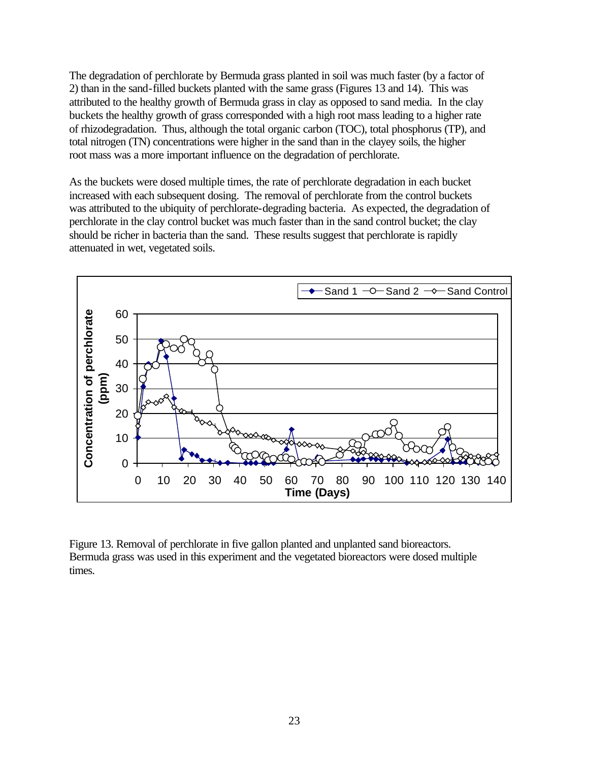The degradation of perchlorate by Bermuda grass planted in soil was much faster (by a factor of 2) than in the sand-filled buckets planted with the same grass (Figures 13 and 14). This was attributed to the healthy growth of Bermuda grass in clay as opposed to sand media. In the clay buckets the healthy growth of grass corresponded with a high root mass leading to a higher rate of rhizodegradation. Thus, although the total organic carbon (TOC), total phosphorus (TP), and total nitrogen (TN) concentrations were higher in the sand than in the clayey soils, the higher root mass was a more important influence on the degradation of perchlorate.

As the buckets were dosed multiple times, the rate of perchlorate degradation in each bucket increased with each subsequent dosing. The removal of perchlorate from the control buckets was attributed to the ubiquity of perchlorate-degrading bacteria. As expected, the degradation of perchlorate in the clay control bucket was much faster than in the sand control bucket; the clay should be richer in bacteria than the sand. These results suggest that perchlorate is rapidly attenuated in wet, vegetated soils.



Figure 13. Removal of perchlorate in five gallon planted and unplanted sand bioreactors. Bermuda grass was used in this experiment and the vegetated bioreactors were dosed multiple times.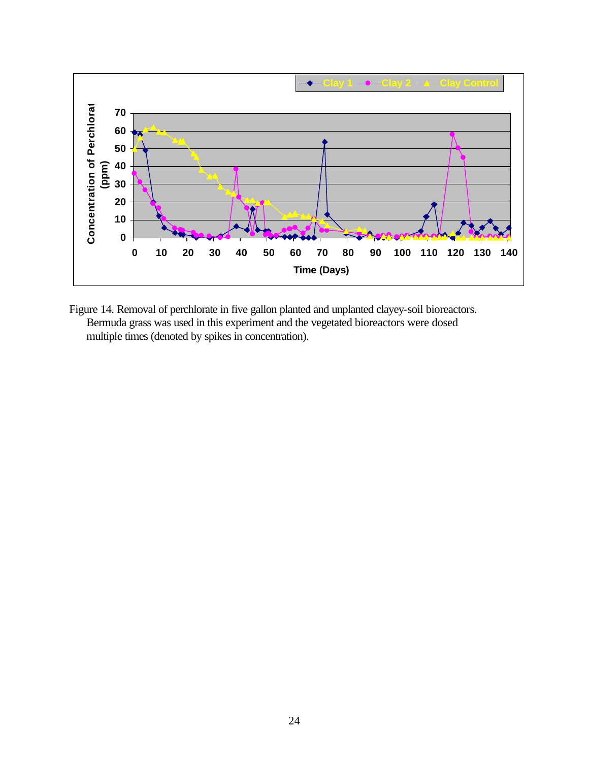

Figure 14. Removal of perchlorate in five gallon planted and unplanted clayey-soil bioreactors. Bermuda grass was used in this experiment and the vegetated bioreactors were dosed multiple times (denoted by spikes in concentration).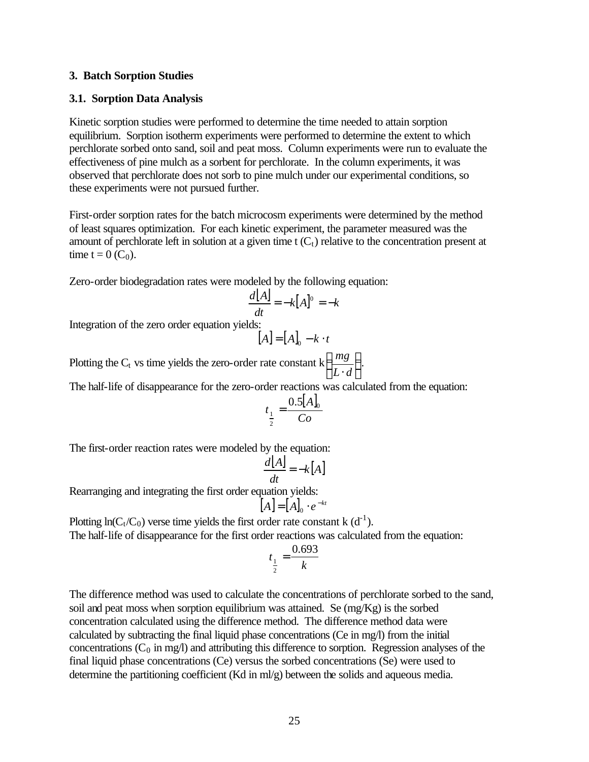#### **3. Batch Sorption Studies**

#### **3.1. Sorption Data Analysis**

Kinetic sorption studies were performed to determine the time needed to attain sorption equilibrium. Sorption isotherm experiments were performed to determine the extent to which perchlorate sorbed onto sand, soil and peat moss. Column experiments were run to evaluate the effectiveness of pine mulch as a sorbent for perchlorate. In the column experiments, it was observed that perchlorate does not sorb to pine mulch under our experimental conditions, so these experiments were not pursued further.

First-order sorption rates for the batch microcosm experiments were determined by the method of least squares optimization. For each kinetic experiment, the parameter measured was the amount of perchlorate left in solution at a given time  $t(C_t)$  relative to the concentration present at time  $t = 0$  (C<sub>0</sub>).

Zero-order biodegradation rates were modeled by the following equation:

$$
\frac{d[A]}{dt} = -k[A]^0 = -k
$$

Integration of the zero order equation yields:

$$
[A] = [A]_0 - k \cdot t
$$

Plotting the C<sub>t</sub> vs time yields the zero-order rate constant k  $\frac{mg}{L}$  $\overline{\phantom{a}}$  $\left(\frac{mg}{r}\right)$ l ſ *L*⋅ *d mg* .

The half-life of disappearance for the zero-order reactions was calculated from the equation:

$$
t_{\frac{1}{2}} = \frac{0.5[A]_0}{Co}
$$

The first-order reaction rates were modeled by the equation:

$$
\frac{d[A]}{dt} = -k[A]
$$

Rearranging and integrating the first order equation yields:

$$
[A] = [A]_0 \cdot e^{-kt}
$$

Plotting  $ln(C_t/C_0)$  verse time yields the first order rate constant k (d<sup>-1</sup>). The half-life of disappearance for the first order reactions was calculated from the equation:

$$
t_{\frac{1}{2}} = \frac{0.693}{k}
$$

The difference method was used to calculate the concentrations of perchlorate sorbed to the sand, soil and peat moss when sorption equilibrium was attained. Se (mg/Kg) is the sorbed concentration calculated using the difference method. The difference method data were calculated by subtracting the final liquid phase concentrations (Ce in mg/l) from the initial concentrations  $(C_0$  in mg/l) and attributing this difference to sorption. Regression analyses of the final liquid phase concentrations (Ce) versus the sorbed concentrations (Se) were used to determine the partitioning coefficient (Kd in ml/g) between the solids and aqueous media.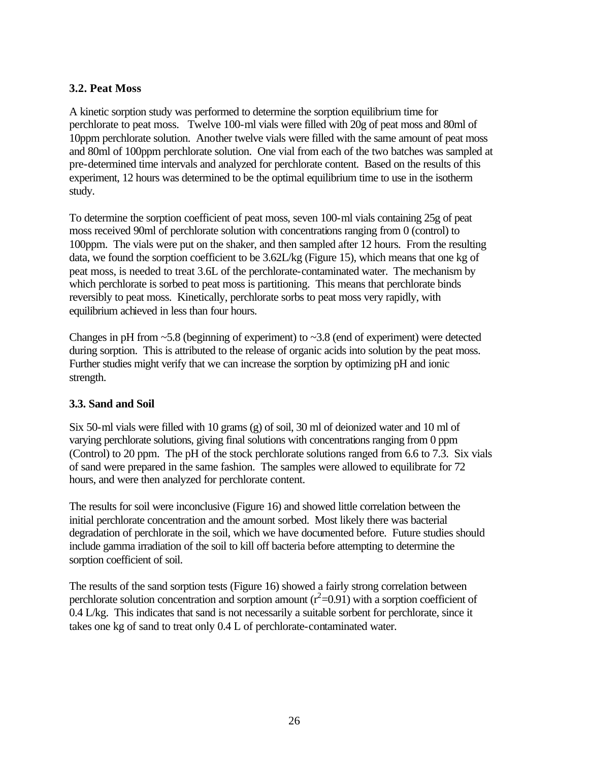### **3.2. Peat Moss**

A kinetic sorption study was performed to determine the sorption equilibrium time for perchlorate to peat moss. Twelve 100-ml vials were filled with 20g of peat moss and 80ml of 10ppm perchlorate solution. Another twelve vials were filled with the same amount of peat moss and 80ml of 100ppm perchlorate solution. One vial from each of the two batches was sampled at pre-determined time intervals and analyzed for perchlorate content. Based on the results of this experiment, 12 hours was determined to be the optimal equilibrium time to use in the isotherm study.

To determine the sorption coefficient of peat moss, seven 100-ml vials containing 25g of peat moss received 90ml of perchlorate solution with concentrations ranging from 0 (control) to 100ppm. The vials were put on the shaker, and then sampled after 12 hours. From the resulting data, we found the sorption coefficient to be 3.62L/kg (Figure 15), which means that one kg of peat moss, is needed to treat 3.6L of the perchlorate-contaminated water. The mechanism by which perchlorate is sorbed to peat moss is partitioning. This means that perchlorate binds reversibly to peat moss. Kinetically, perchlorate sorbs to peat moss very rapidly, with equilibrium achieved in less than four hours.

Changes in pH from  $\sim$  5.8 (beginning of experiment) to  $\sim$  3.8 (end of experiment) were detected during sorption. This is attributed to the release of organic acids into solution by the peat moss. Further studies might verify that we can increase the sorption by optimizing pH and ionic strength.

### **3.3. Sand and Soil**

Six 50-ml vials were filled with 10 grams (g) of soil, 30 ml of deionized water and 10 ml of varying perchlorate solutions, giving final solutions with concentrations ranging from 0 ppm (Control) to 20 ppm. The pH of the stock perchlorate solutions ranged from 6.6 to 7.3. Six vials of sand were prepared in the same fashion. The samples were allowed to equilibrate for 72 hours, and were then analyzed for perchlorate content.

The results for soil were inconclusive (Figure 16) and showed little correlation between the initial perchlorate concentration and the amount sorbed. Most likely there was bacterial degradation of perchlorate in the soil, which we have documented before. Future studies should include gamma irradiation of the soil to kill off bacteria before attempting to determine the sorption coefficient of soil.

The results of the sand sorption tests (Figure 16) showed a fairly strong correlation between perchlorate solution concentration and sorption amount  $(r^2=0.91)$  with a sorption coefficient of 0.4 L/kg. This indicates that sand is not necessarily a suitable sorbent for perchlorate, since it takes one kg of sand to treat only 0.4 L of perchlorate-contaminated water.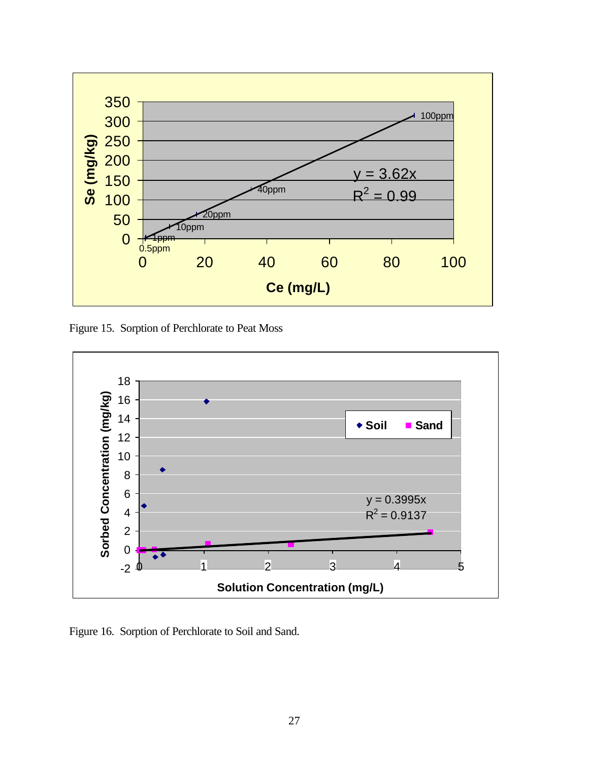

Figure 15. Sorption of Perchlorate to Peat Moss



Figure 16. Sorption of Perchlorate to Soil and Sand.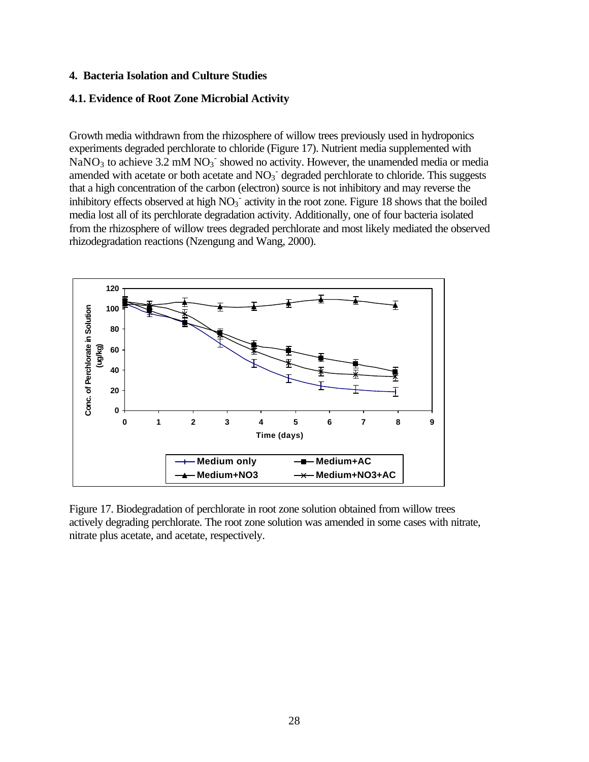#### **4. Bacteria Isolation and Culture Studies**

#### **4.1. Evidence of Root Zone Microbial Activity**

Growth media withdrawn from the rhizosphere of willow trees previously used in hydroponics experiments degraded perchlorate to chloride (Figure 17). Nutrient media supplemented with  $\text{NaNO}_3$  to achieve 3.2 mM  $\text{NO}_3$ <sup>-</sup> showed no activity. However, the unamended media or media amended with acetate or both acetate and  $NO<sub>3</sub>$  degraded perchlorate to chloride. This suggests that a high concentration of the carbon (electron) source is not inhibitory and may reverse the inhibitory effects observed at high  $NO<sub>3</sub>$  activity in the root zone. Figure 18 shows that the boiled media lost all of its perchlorate degradation activity. Additionally, one of four bacteria isolated from the rhizosphere of willow trees degraded perchlorate and most likely mediated the observed rhizodegradation reactions (Nzengung and Wang, 2000).



Figure 17. Biodegradation of perchlorate in root zone solution obtained from willow trees actively degrading perchlorate. The root zone solution was amended in some cases with nitrate, nitrate plus acetate, and acetate, respectively.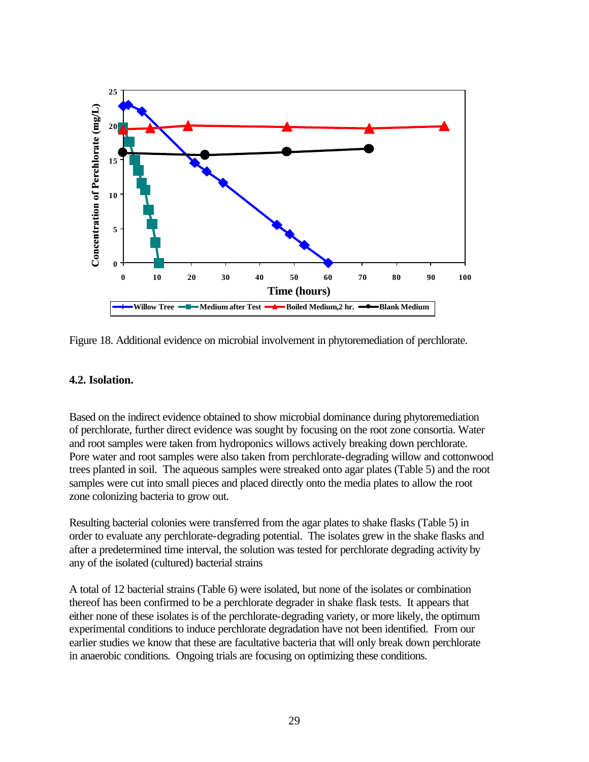

Figure 18. Additional evidence on microbial involvement in phytoremediation of perchlorate.

#### **4.2. Isolation.**

Based on the indirect evidence obtained to show microbial dominance during phytoremediation of perchlorate, further direct evidence was sought by focusing on the root zone consortia. Water and root samples were taken from hydroponics willows actively breaking down perchlorate. Pore water and root samples were also taken from perchlorate-degrading willow and cottonwood trees planted in soil. The aqueous samples were streaked onto agar plates (Table 5) and the root samples were cut into small pieces and placed directly onto the media plates to allow the root zone colonizing bacteria to grow out.

Resulting bacterial colonies were transferred from the agar plates to shake flasks (Table 5) in order to evaluate any perchlorate-degrading potential. The isolates grew in the shake flasks and after a predetermined time interval, the solution was tested for perchlorate degrading activity by any of the isolated (cultured) bacterial strains

A total of 12 bacterial strains (Table 6) were isolated, but none of the isolates or combination thereof has been confirmed to be a perchlorate degrader in shake flask tests. It appears that either none of these isolates is of the perchlorate-degrading variety, or more likely, the optimum experimental conditions to induce perchlorate degradation have not been identified. From our earlier studies we know that these are facultative bacteria that will only break down perchlorate in anaerobic conditions. Ongoing trials are focusing on optimizing these conditions.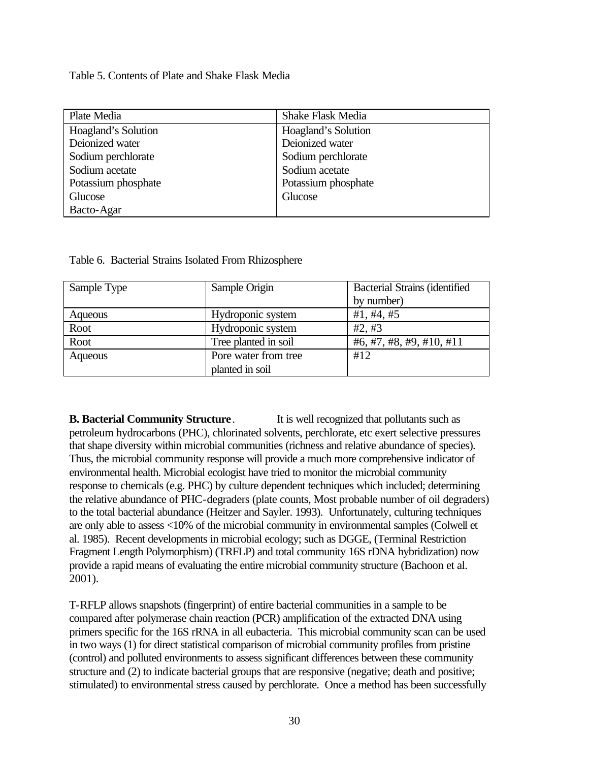Table 5. Contents of Plate and Shake Flask Media

| Plate Media         | <b>Shake Flask Media</b> |
|---------------------|--------------------------|
| Hoagland's Solution | Hoagland's Solution      |
| Deionized water     | Deionized water          |
| Sodium perchlorate  | Sodium perchlorate       |
| Sodium acetate      | Sodium acetate           |
| Potassium phosphate | Potassium phosphate      |
| Glucose             | Glucose                  |
| Bacto-Agar          |                          |

|  |  |  |  |  | Table 6. Bacterial Strains Isolated From Rhizosphere |
|--|--|--|--|--|------------------------------------------------------|
|--|--|--|--|--|------------------------------------------------------|

| Sample Type | Sample Origin        | <b>Bacterial Strains (identified)</b> |
|-------------|----------------------|---------------------------------------|
|             |                      | by number)                            |
| Aqueous     | Hydroponic system    | #1, #4, #5                            |
| Root        | Hydroponic system    | #2, #3                                |
| Root        | Tree planted in soil | #6, #7, #8, #9, #10, #11              |
| Aqueous     | Pore water from tree | #12                                   |
|             | planted in soil      |                                       |

**B. Bacterial Community Structure**. It is well recognized that pollutants such as petroleum hydrocarbons (PHC), chlorinated solvents, perchlorate, etc exert selective pressures that shape diversity within microbial communities (richness and relative abundance of species). Thus, the microbial community response will provide a much more comprehensive indicator of environmental health. Microbial ecologist have tried to monitor the microbial community response to chemicals (e.g. PHC) by culture dependent techniques which included; determining the relative abundance of PHC-degraders (plate counts, Most probable number of oil degraders) to the total bacterial abundance (Heitzer and Sayler. 1993). Unfortunately, culturing techniques are only able to assess <10% of the microbial community in environmental samples (Colwell et al. 1985). Recent developments in microbial ecology; such as DGGE, (Terminal Restriction Fragment Length Polymorphism) (TRFLP) and total community 16S rDNA hybridization) now provide a rapid means of evaluating the entire microbial community structure (Bachoon et al. 2001).

T-RFLP allows snapshots (fingerprint) of entire bacterial communities in a sample to be compared after polymerase chain reaction (PCR) amplification of the extracted DNA using primers specific for the 16S rRNA in all eubacteria. This microbial community scan can be used in two ways (1) for direct statistical comparison of microbial community profiles from pristine (control) and polluted environments to assess significant differences between these community structure and (2) to indicate bacterial groups that are responsive (negative; death and positive; stimulated) to environmental stress caused by perchlorate. Once a method has been successfully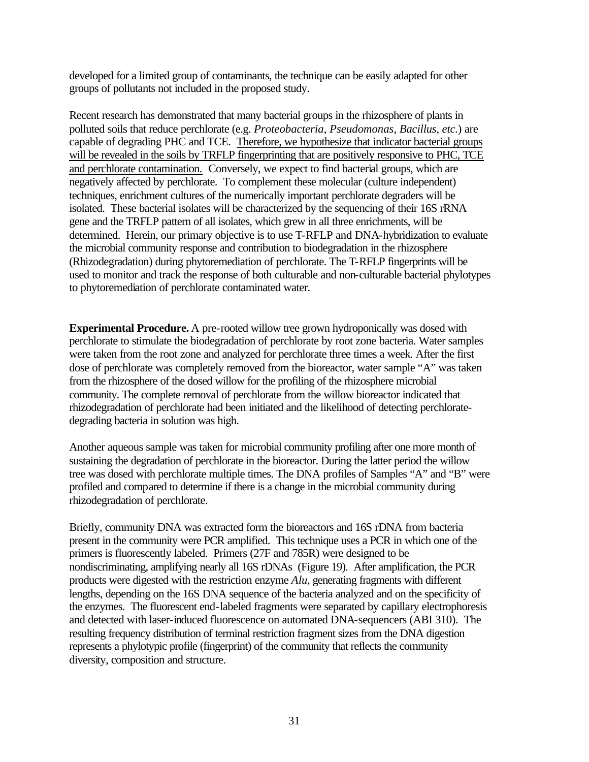developed for a limited group of contaminants, the technique can be easily adapted for other groups of pollutants not included in the proposed study.

Recent research has demonstrated that many bacterial groups in the rhizosphere of plants in polluted soils that reduce perchlorate (e.g. *Proteobacteria*, *Pseudomonas*, *Bacillus, etc.*) are capable of degrading PHC and TCE. Therefore, we hypothesize that indicator bacterial groups will be revealed in the soils by TRFLP fingerprinting that are positively responsive to PHC, TCE and perchlorate contamination. Conversely, we expect to find bacterial groups, which are negatively affected by perchlorate. To complement these molecular (culture independent) techniques, enrichment cultures of the numerically important perchlorate degraders will be isolated. These bacterial isolates will be characterized by the sequencing of their 16S rRNA gene and the TRFLP pattern of all isolates, which grew in all three enrichments, will be determined. Herein, our primary objective is to use T-RFLP and DNA-hybridization to evaluate the microbial community response and contribution to biodegradation in the rhizosphere (Rhizodegradation) during phytoremediation of perchlorate. The T-RFLP fingerprints will be used to monitor and track the response of both culturable and non-culturable bacterial phylotypes to phytoremediation of perchlorate contaminated water.

**Experimental Procedure.** A pre-rooted willow tree grown hydroponically was dosed with perchlorate to stimulate the biodegradation of perchlorate by root zone bacteria. Water samples were taken from the root zone and analyzed for perchlorate three times a week. After the first dose of perchlorate was completely removed from the bioreactor, water sample "A" was taken from the rhizosphere of the dosed willow for the profiling of the rhizosphere microbial community. The complete removal of perchlorate from the willow bioreactor indicated that rhizodegradation of perchlorate had been initiated and the likelihood of detecting perchloratedegrading bacteria in solution was high.

Another aqueous sample was taken for microbial community profiling after one more month of sustaining the degradation of perchlorate in the bioreactor. During the latter period the willow tree was dosed with perchlorate multiple times. The DNA profiles of Samples "A" and "B" were profiled and compared to determine if there is a change in the microbial community during rhizodegradation of perchlorate.

Briefly, community DNA was extracted form the bioreactors and 16S rDNA from bacteria present in the community were PCR amplified. This technique uses a PCR in which one of the primers is fluorescently labeled. Primers (27F and 785R) were designed to be nondiscriminating, amplifying nearly all 16S rDNAs (Figure 19). After amplification, the PCR products were digested with the restriction enzyme *Alu*, generating fragments with different lengths, depending on the 16S DNA sequence of the bacteria analyzed and on the specificity of the enzymes. The fluorescent end-labeled fragments were separated by capillary electrophoresis and detected with laser-induced fluorescence on automated DNA-sequencers (ABI 310). The resulting frequency distribution of terminal restriction fragment sizes from the DNA digestion represents a phylotypic profile (fingerprint) of the community that reflects the community diversity, composition and structure.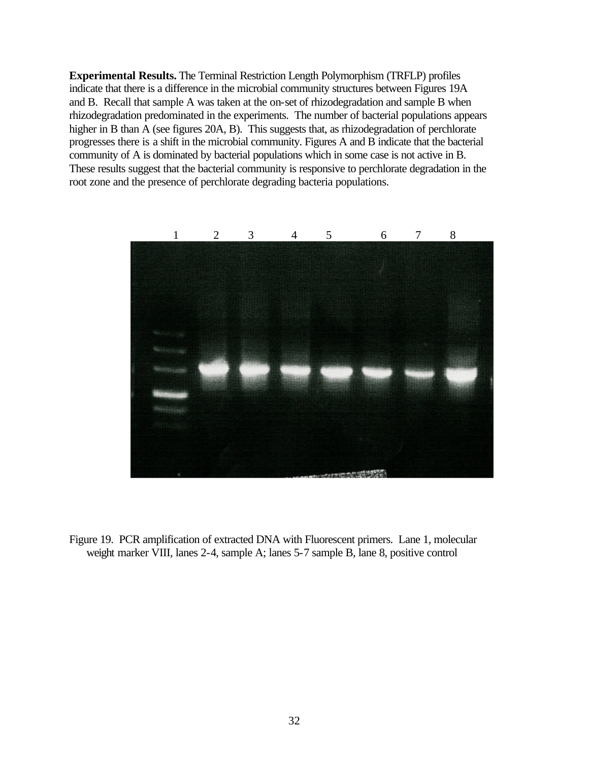**Experimental Results.** The Terminal Restriction Length Polymorphism (TRFLP) profiles indicate that there is a difference in the microbial community structures between Figures 19A and B. Recall that sample A was taken at the on-set of rhizodegradation and sample B when rhizodegradation predominated in the experiments. The number of bacterial populations appears higher in B than A (see figures 20A, B). This suggests that, as rhizodegradation of perchlorate progresses there is a shift in the microbial community. Figures A and B indicate that the bacterial community of A is dominated by bacterial populations which in some case is not active in B. These results suggest that the bacterial community is responsive to perchlorate degradation in the root zone and the presence of perchlorate degrading bacteria populations.



Figure 19. PCR amplification of extracted DNA with Fluorescent primers. Lane 1, molecular weight marker VIII, lanes 2-4, sample A; lanes 5-7 sample B, lane 8, positive control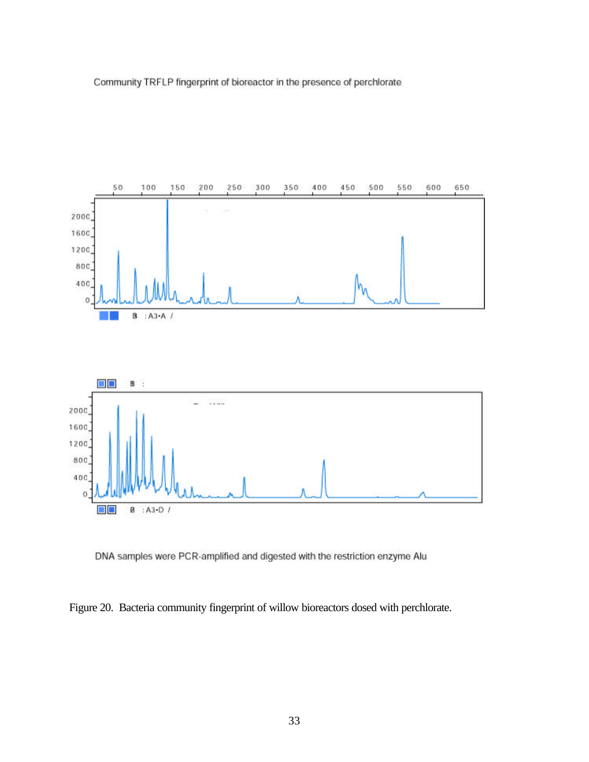



DNA samples were PCR-amplified and digested with the restriction enzyme Alu

Figure 20. Bacteria community fingerprint of willow bioreactors dosed with perchlorate.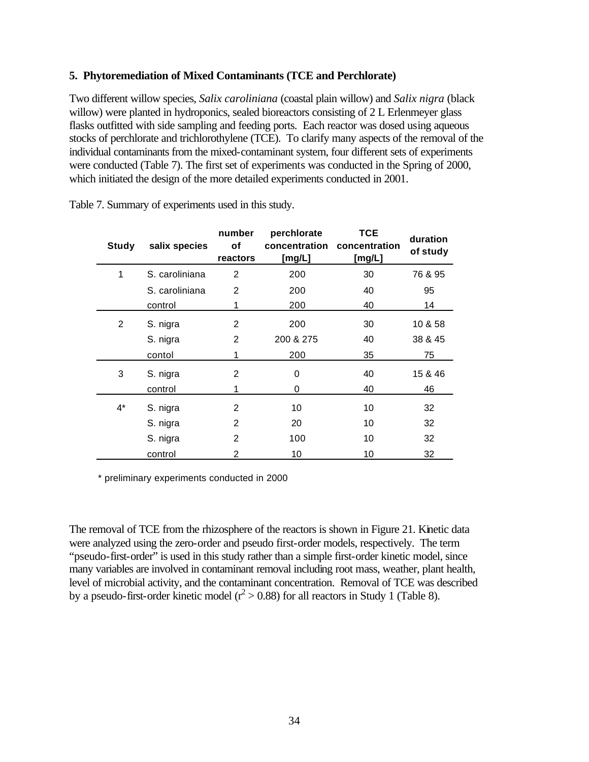#### **5. Phytoremediation of Mixed Contaminants (TCE and Perchlorate)**

Two different willow species, *Salix caroliniana* (coastal plain willow) and *Salix nigra* (black willow) were planted in hydroponics, sealed bioreactors consisting of 2 L Erlenmeyer glass flasks outfitted with side sampling and feeding ports. Each reactor was dosed using aqueous stocks of perchlorate and trichlorothylene (TCE). To clarify many aspects of the removal of the individual contaminants from the mixed-contaminant system, four different sets of experiments were conducted (Table 7). The first set of experiments was conducted in the Spring of 2000, which initiated the design of the more detailed experiments conducted in 2001.

| <b>Study</b>   | salix species  | number<br>οf<br>reactors | perchlorate<br>concentration<br>[mg/L] | <b>TCE</b><br>concentration<br>[mg/L] | duration<br>of study |
|----------------|----------------|--------------------------|----------------------------------------|---------------------------------------|----------------------|
| 1              | S. caroliniana | $\overline{2}$           | 200                                    | 30                                    | 76 & 95              |
|                | S. caroliniana | 2                        | 200                                    | 40                                    | 95                   |
|                | control        |                          | 200                                    | 40                                    | 14                   |
| $\overline{2}$ | S. nigra       | 2                        | 200                                    | 30                                    | 10 & 58              |
|                | S. nigra       | 2                        | 200 & 275                              | 40                                    | 38 & 45              |
|                | contol         |                          | 200                                    | 35                                    | 75                   |
| 3              | S. nigra       | 2                        | 0                                      | 40                                    | 15 & 46              |
|                | control        |                          | 0                                      | 40                                    | 46                   |
| $4^*$          | S. nigra       | 2                        | 10                                     | 10                                    | 32                   |
|                | S. nigra       | 2                        | 20                                     | 10                                    | 32                   |
|                | S. nigra       | 2                        | 100                                    | 10                                    | 32                   |
|                | control        | 2                        | 10                                     | 10                                    | 32                   |

Table 7. Summary of experiments used in this study.

\* preliminary experiments conducted in 2000

The removal of TCE from the rhizosphere of the reactors is shown in Figure 21. Kinetic data were analyzed using the zero-order and pseudo first-order models, respectively. The term "pseudo-first-order" is used in this study rather than a simple first-order kinetic model, since many variables are involved in contaminant removal including root mass, weather, plant health, level of microbial activity, and the contaminant concentration. Removal of TCE was described by a pseudo-first-order kinetic model ( $r^2 > 0.88$ ) for all reactors in Study 1 (Table 8).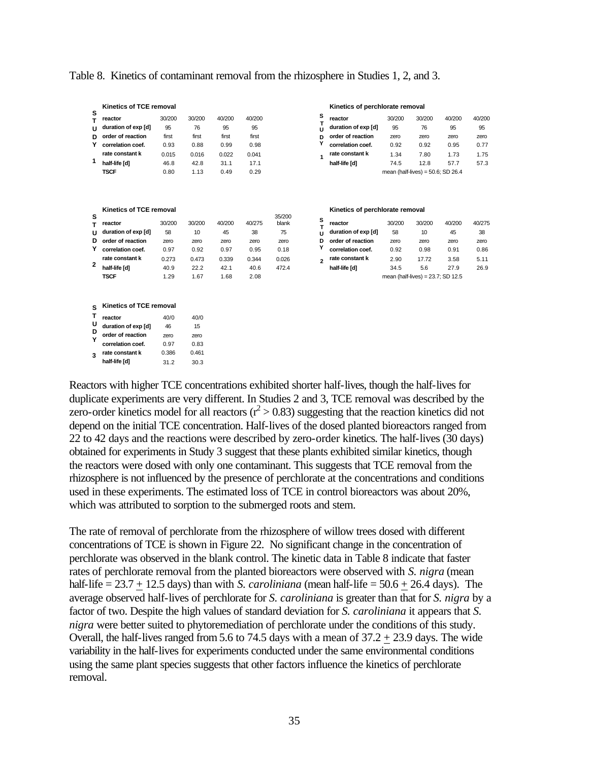Table 8. Kinetics of contaminant removal from the rhizosphere in Studies 1, 2, and 3.

|        | <b>Kinetics of TCE removal</b>              |                              |               |        |        |                 |                | Kinetics of perchlorate removal |        |                                   |        |        |
|--------|---------------------------------------------|------------------------------|---------------|--------|--------|-----------------|----------------|---------------------------------|--------|-----------------------------------|--------|--------|
| s<br>т | reactor                                     | 30/200                       | 30/200        | 40/200 | 40/200 |                 | s              | reactor                         | 30/200 | 30/200                            | 40/200 | 40/200 |
| U      | duration of exp [d]                         | 95                           | 76            | 95     | 95     |                 | т<br>U         | duration of exp [d]             | 95     | 76                                | 95     | 95     |
| D      | order of reaction                           | first                        | first         | first  | first  |                 | D              | order of reaction               | zero   | zero                              | zero   | zero   |
| Y      | correlation coef.                           | 0.93                         | 0.88          | 0.99   | 0.98   |                 | Y              | correlation coef.               | 0.92   | 0.92                              | 0.95   | 0.77   |
|        | rate constant k                             | 0.015                        | 0.016         | 0.022  | 0.041  |                 | 1              | rate constant k                 | 1.34   | 7.80                              | 1.73   | 1.75   |
| 1      | half-life [d]                               | 46.8<br>42.8<br>17.1<br>31.1 | half-life [d] | 74.5   | 12.8   | 57.7            | 57.3           |                                 |        |                                   |        |        |
|        | <b>TSCF</b><br>1.13<br>0.29<br>0.80<br>0.49 |                              |               |        |        |                 |                |                                 |        | mean (half-lives) = 50.6; SD 26.4 |        |        |
|        | <b>Kinetics of TCE removal</b>              |                              |               |        |        |                 |                | Kinetics of perchlorate removal |        |                                   |        |        |
| s      | reactor                                     | 30/200                       | 30/200        | 40/200 | 40/275 | 35/200<br>blank | s              | reactor                         | 30/200 | 30/200                            | 40/200 | 40/275 |
| т<br>U | duration of exp [d]                         | 58                           | 10            | 45     | 38     | 75              | т<br>Ü         | duration of exp [d]             | 58     | 10                                | 45     | 38     |
| D      | order of reaction                           | zero                         | zero          | zero   | zero   | zero            | D              | order of reaction               | zero   | zero                              | zero   | zero   |
| Y      | correlation coef.                           | 0.97                         | 0.92          | 0.97   | 0.95   | 0.18            | Y              | correlation coef.               | 0.92   | 0.98                              | 0.91   | 0.86   |
|        | rate constant k                             | 0.273                        | 0.473         | 0.339  | 0.344  | 0.026           | $\mathfrak{p}$ | rate constant k                 | 2.90   | 17.72                             | 3.58   | 5.11   |
| 2      | half-life [d]                               | 40.9                         | 22.2          | 42.1   | 40.6   | 472.4           |                | half-life [d]                   | 34.5   | 5.6                               | 27.9   | 26.9   |
|        | <b>TSCF</b>                                 | 1.29                         | 1.67          | 1.68   | 2.08   |                 |                |                                 |        | mean (half-lives) = 23.7; SD 12.5 |        |        |
|        |                                             |                              |               |        |        |                 |                |                                 |        |                                   |        |        |
| s      | Kinetics of TCE removal                     |                              |               |        |        |                 |                |                                 |        |                                   |        |        |
| т      | reactor                                     | 40/0                         | 40/0          |        |        |                 |                |                                 |        |                                   |        |        |
| U      | duration of exp [d]                         | 46                           | 15            |        |        |                 |                |                                 |        |                                   |        |        |
| D<br>Υ | order of reaction                           | zero                         | zero          |        |        |                 |                |                                 |        |                                   |        |        |
|        | correlation coef.                           | 0.97                         | 0.83          |        |        |                 |                |                                 |        |                                   |        |        |
| 3      | rate constant k                             | 0.386                        | 0.461         |        |        |                 |                |                                 |        |                                   |        |        |
|        | half-life [d]                               | 31.2                         | 30.3          |        |        |                 |                |                                 |        |                                   |        |        |

|  | Kinetics of perchlorate removal |  |
|--|---------------------------------|--|
|  |                                 |  |

| s | reactor             | 30/200                               | 30/200 | 40/200 | 40/200 |  |  |  |
|---|---------------------|--------------------------------------|--------|--------|--------|--|--|--|
| u | duration of exp [d] | 95                                   | 76     | 95     | 95     |  |  |  |
| D | order of reaction   | zero                                 | zero   | zero   | zero   |  |  |  |
|   | correlation coef.   | 0.92                                 | 0.92   | 0.95   | 0.77   |  |  |  |
|   | rate constant k     | 1.34                                 | 7.80   | 1.73   | 1.75   |  |  |  |
|   | half-life [d]       | 74.5                                 | 12 R   | 57.7   | 57.3   |  |  |  |
|   |                     | mean (half-lives) = $50.6$ ; SD 26.4 |        |        |        |  |  |  |
|   |                     |                                      |        |        |        |  |  |  |

#### **Kinetics of perchlorate removal**

| 55/200<br>blank |   | reactor                           | 30/200 | 30/200 | 40/200 | 40/275 |
|-----------------|---|-----------------------------------|--------|--------|--------|--------|
| 75              |   | duration of exp [d]               | 58     | 10     | 45     | 38     |
| zero            | D | order of reaction                 | zero   | zero   | zero   | zero   |
| 0.18            |   | correlation coef.                 | 0.92   | 0.98   | 0.91   | 0.86   |
| 0.026           | າ | rate constant k                   | 2.90   | 17.72  | 3.58   | 5.11   |
| 472.4           |   | half-life [d]                     | 34.5   | 5.6    | 27.9   | 26.9   |
|                 |   | mean (half-lives) = 23.7; SD 12.5 |        |        |        |        |

Reactors with higher TCE concentrations exhibited shorter half-lives, though the half-lives for duplicate experiments are very different. In Studies 2 and 3, TCE removal was described by the zero-order kinetics model for all reactors  $(r^2 > 0.83)$  suggesting that the reaction kinetics did not depend on the initial TCE concentration. Half-lives of the dosed planted bioreactors ranged from 22 to 42 days and the reactions were described by zero-order kinetics. The half-lives (30 days) obtained for experiments in Study 3 suggest that these plants exhibited similar kinetics, though the reactors were dosed with only one contaminant. This suggests that TCE removal from the rhizosphere is not influenced by the presence of perchlorate at the concentrations and conditions used in these experiments. The estimated loss of TCE in control bioreactors was about 20%, which was attributed to sorption to the submerged roots and stem.

The rate of removal of perchlorate from the rhizosphere of willow trees dosed with different concentrations of TCE is shown in Figure 22. No significant change in the concentration of perchlorate was observed in the blank control. The kinetic data in Table 8 indicate that faster rates of perchlorate removal from the planted bioreactors were observed with *S. nigra* (mean half-life  $= 23.7 + 12.5$  days) than with *S. caroliniana* (mean half-life  $= 50.6 + 26.4$  days). The average observed half-lives of perchlorate for *S. caroliniana* is greater than that for *S. nigra* by a factor of two. Despite the high values of standard deviation for *S. caroliniana* it appears that *S. nigra* were better suited to phytoremediation of perchlorate under the conditions of this study. Overall, the half-lives ranged from 5.6 to 74.5 days with a mean of  $37.2 + 23.9$  days. The wide variability in the half-lives for experiments conducted under the same environmental conditions using the same plant species suggests that other factors influence the kinetics of perchlorate removal.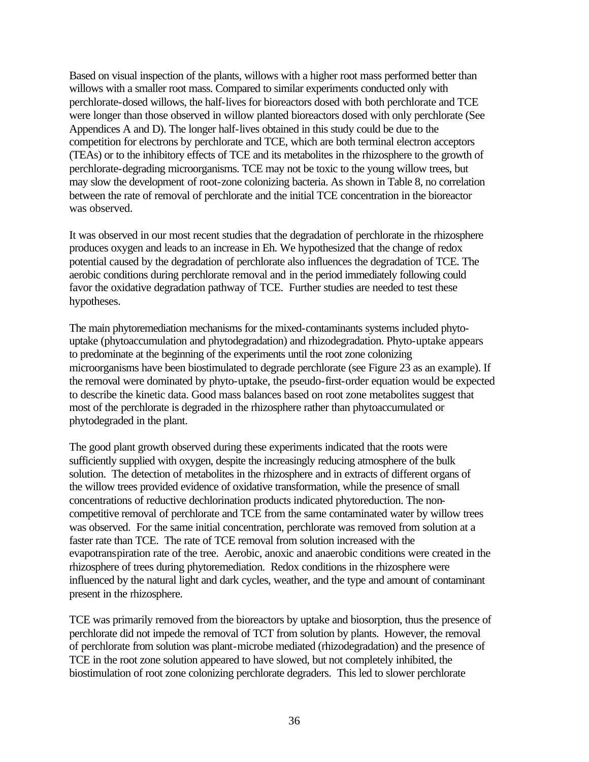Based on visual inspection of the plants, willows with a higher root mass performed better than willows with a smaller root mass. Compared to similar experiments conducted only with perchlorate-dosed willows, the half-lives for bioreactors dosed with both perchlorate and TCE were longer than those observed in willow planted bioreactors dosed with only perchlorate (See Appendices A and D). The longer half-lives obtained in this study could be due to the competition for electrons by perchlorate and TCE, which are both terminal electron acceptors (TEAs) or to the inhibitory effects of TCE and its metabolites in the rhizosphere to the growth of perchlorate-degrading microorganisms. TCE may not be toxic to the young willow trees, but may slow the development of root-zone colonizing bacteria. As shown in Table 8, no correlation between the rate of removal of perchlorate and the initial TCE concentration in the bioreactor was observed.

It was observed in our most recent studies that the degradation of perchlorate in the rhizosphere produces oxygen and leads to an increase in Eh. We hypothesized that the change of redox potential caused by the degradation of perchlorate also influences the degradation of TCE. The aerobic conditions during perchlorate removal and in the period immediately following could favor the oxidative degradation pathway of TCE. Further studies are needed to test these hypotheses.

The main phytoremediation mechanisms for the mixed-contaminants systems included phytouptake (phytoaccumulation and phytodegradation) and rhizodegradation. Phyto-uptake appears to predominate at the beginning of the experiments until the root zone colonizing microorganisms have been biostimulated to degrade perchlorate (see Figure 23 as an example). If the removal were dominated by phyto-uptake, the pseudo-first-order equation would be expected to describe the kinetic data. Good mass balances based on root zone metabolites suggest that most of the perchlorate is degraded in the rhizosphere rather than phytoaccumulated or phytodegraded in the plant.

The good plant growth observed during these experiments indicated that the roots were sufficiently supplied with oxygen, despite the increasingly reducing atmosphere of the bulk solution. The detection of metabolites in the rhizosphere and in extracts of different organs of the willow trees provided evidence of oxidative transformation, while the presence of small concentrations of reductive dechlorination products indicated phytoreduction. The noncompetitive removal of perchlorate and TCE from the same contaminated water by willow trees was observed. For the same initial concentration, perchlorate was removed from solution at a faster rate than TCE. The rate of TCE removal from solution increased with the evapotranspiration rate of the tree. Aerobic, anoxic and anaerobic conditions were created in the rhizosphere of trees during phytoremediation. Redox conditions in the rhizosphere were influenced by the natural light and dark cycles, weather, and the type and amount of contaminant present in the rhizosphere.

TCE was primarily removed from the bioreactors by uptake and biosorption, thus the presence of perchlorate did not impede the removal of TCT from solution by plants. However, the removal of perchlorate from solution was plant-microbe mediated (rhizodegradation) and the presence of TCE in the root zone solution appeared to have slowed, but not completely inhibited, the biostimulation of root zone colonizing perchlorate degraders. This led to slower perchlorate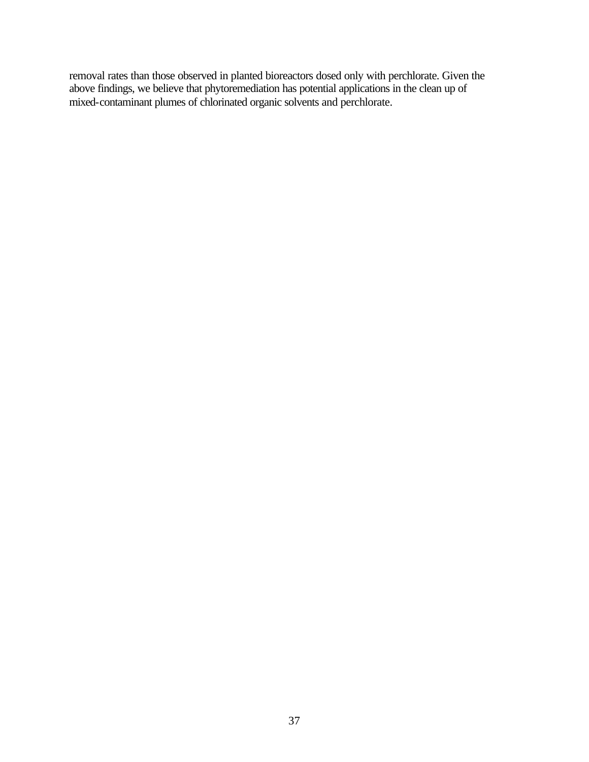removal rates than those observed in planted bioreactors dosed only with perchlorate. Given the above findings, we believe that phytoremediation has potential applications in the clean up of mixed-contaminant plumes of chlorinated organic solvents and perchlorate.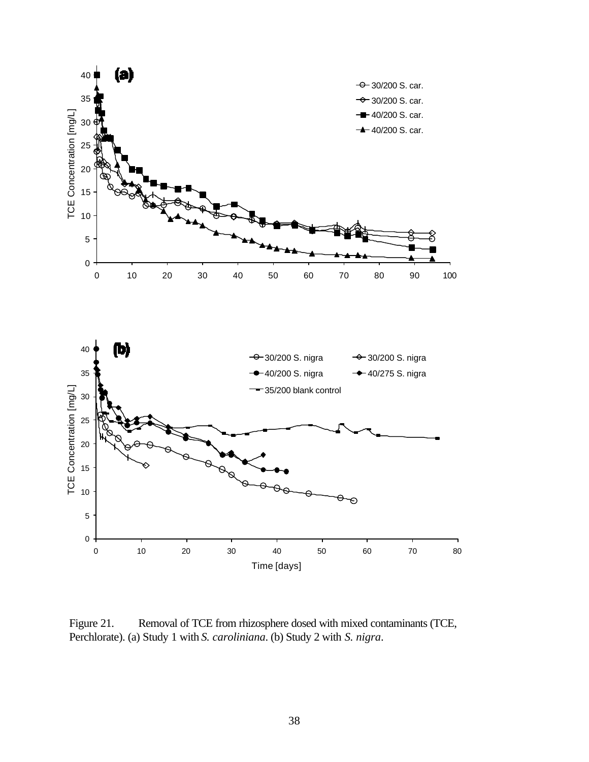

Figure 21. Removal of TCE from rhizosphere dosed with mixed contaminants (TCE, Perchlorate). (a) Study 1 with *S. caroliniana*. (b) Study 2 with *S. nigra*.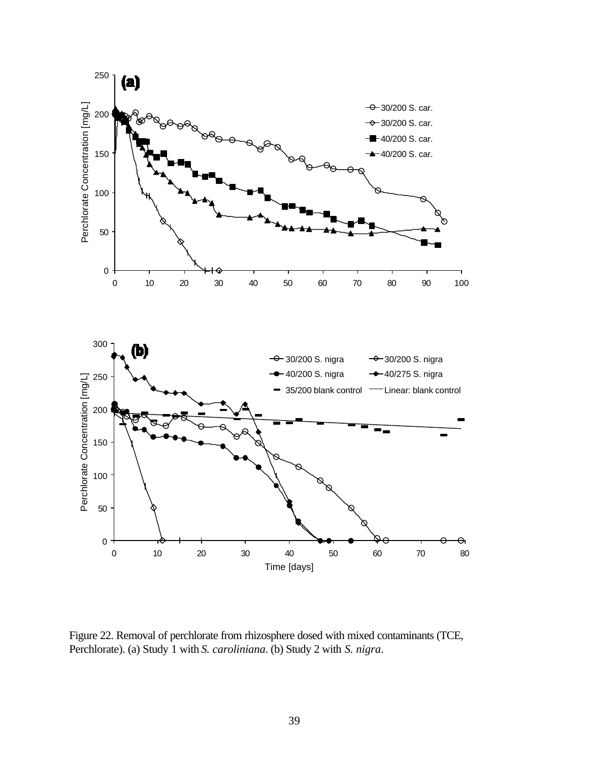

Figure 22. Removal of perchlorate from rhizosphere dosed with mixed contaminants (TCE, Perchlorate). (a) Study 1 with *S. caroliniana*. (b) Study 2 with *S. nigra*.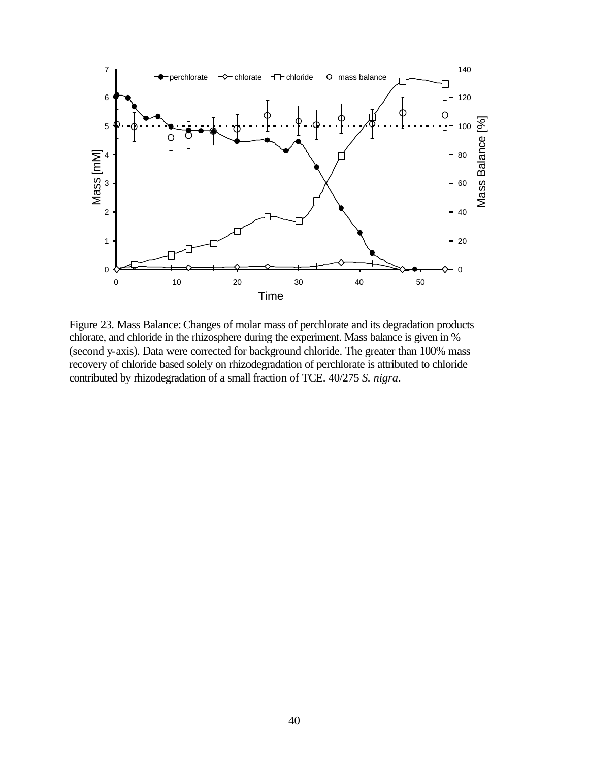

Figure 23. Mass Balance: Changes of molar mass of perchlorate and its degradation products chlorate, and chloride in the rhizosphere during the experiment. Mass balance is given in % (second y-axis). Data were corrected for background chloride. The greater than 100% mass recovery of chloride based solely on rhizodegradation of perchlorate is attributed to chloride contributed by rhizodegradation of a small fraction of TCE. 40/275 *S. nigra*.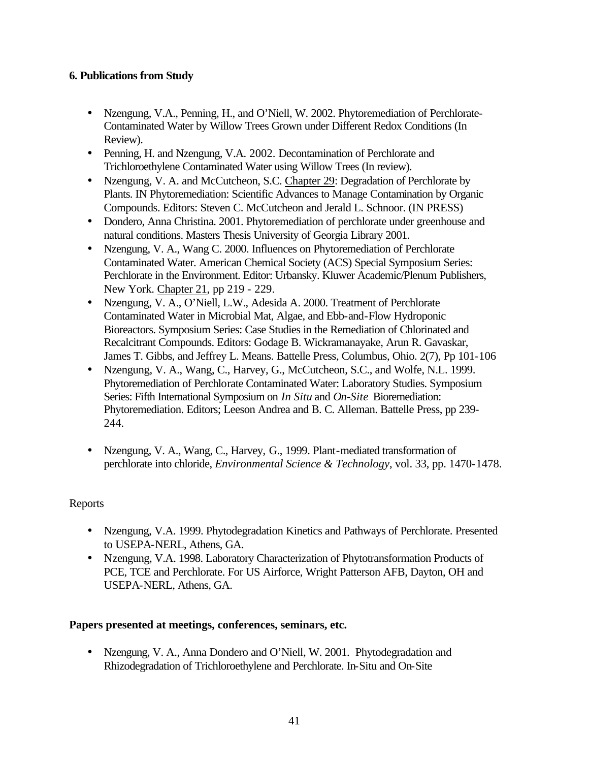### **6. Publications from Study**

- Nzengung, V.A., Penning, H., and O'Niell, W. 2002. Phytoremediation of Perchlorate-Contaminated Water by Willow Trees Grown under Different Redox Conditions (In Review).
- Penning, H. and Nzengung, V.A. 2002. Decontamination of Perchlorate and Trichloroethylene Contaminated Water using Willow Trees (In review).
- Nzengung, V. A. and McCutcheon, S.C. Chapter 29: Degradation of Perchlorate by Plants. IN Phytoremediation: Scientific Advances to Manage Contamination by Organic Compounds. Editors: Steven C. McCutcheon and Jerald L. Schnoor. (IN PRESS)
- Dondero, Anna Christina. 2001. Phytoremediation of perchlorate under greenhouse and natural conditions. Masters Thesis University of Georgia Library 2001.
- Nzengung, V. A., Wang C. 2000. Influences on Phytoremediation of Perchlorate Contaminated Water. American Chemical Society (ACS) Special Symposium Series: Perchlorate in the Environment. Editor: Urbansky. Kluwer Academic/Plenum Publishers, New York. Chapter 21, pp 219 - 229.
- Nzengung, V. A., O'Niell, L.W., Adesida A. 2000. Treatment of Perchlorate Contaminated Water in Microbial Mat, Algae, and Ebb-and-Flow Hydroponic Bioreactors. Symposium Series: Case Studies in the Remediation of Chlorinated and Recalcitrant Compounds. Editors: Godage B. Wickramanayake, Arun R. Gavaskar, James T. Gibbs, and Jeffrey L. Means. Battelle Press, Columbus, Ohio. 2(7), Pp 101-106
- Nzengung, V. A., Wang, C., Harvey, G., McCutcheon, S.C., and Wolfe, N.L. 1999. Phytoremediation of Perchlorate Contaminated Water: Laboratory Studies. Symposium Series: Fifth International Symposium on *In Situ* and *On-Site* Bioremediation: Phytoremediation. Editors; Leeson Andrea and B. C. Alleman. Battelle Press, pp 239- 244.
- Nzengung, V. A., Wang, C., Harvey, G., 1999. Plant-mediated transformation of perchlorate into chloride, *Environmental Science & Technology*, vol. 33, pp. 1470-1478.

# Reports

- Nzengung, V.A. 1999. Phytodegradation Kinetics and Pathways of Perchlorate. Presented to USEPA-NERL, Athens, GA.
- Nzengung, V.A. 1998. Laboratory Characterization of Phytotransformation Products of PCE, TCE and Perchlorate. For US Airforce, Wright Patterson AFB, Dayton, OH and USEPA-NERL, Athens, GA.

### **Papers presented at meetings, conferences, seminars, etc.**

• Nzengung, V. A., Anna Dondero and O'Niell, W. 2001. Phytodegradation and Rhizodegradation of Trichloroethylene and Perchlorate. In-Situ and On-Site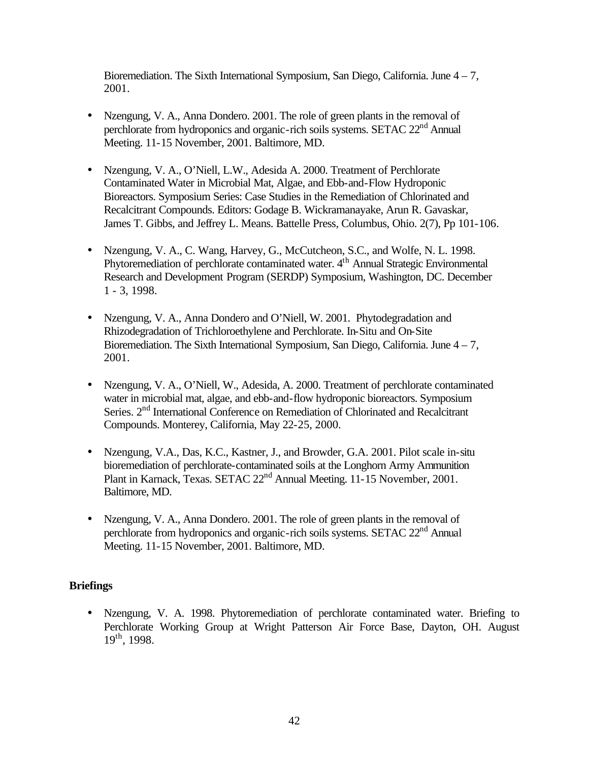Bioremediation. The Sixth International Symposium, San Diego, California. June  $4 - 7$ , 2001.

- Nzengung, V. A., Anna Dondero. 2001. The role of green plants in the removal of perchlorate from hydroponics and organic-rich soils systems. SETAC 22<sup>nd</sup> Annual Meeting. 11-15 November, 2001. Baltimore, MD.
- Nzengung, V. A., O'Niell, L.W., Adesida A. 2000. Treatment of Perchlorate Contaminated Water in Microbial Mat, Algae, and Ebb-and-Flow Hydroponic Bioreactors. Symposium Series: Case Studies in the Remediation of Chlorinated and Recalcitrant Compounds. Editors: Godage B. Wickramanayake, Arun R. Gavaskar, James T. Gibbs, and Jeffrey L. Means. Battelle Press, Columbus, Ohio. 2(7), Pp 101-106.
- Nzengung, V. A., C. Wang, Harvey, G., McCutcheon, S.C., and Wolfe, N. L. 1998. Phytoremediation of perchlorate contaminated water. 4<sup>th</sup> Annual Strategic Environmental Research and Development Program (SERDP) Symposium, Washington, DC. December 1 - 3, 1998.
- Nzengung, V. A., Anna Dondero and O'Niell, W. 2001. Phytodegradation and Rhizodegradation of Trichloroethylene and Perchlorate. In-Situ and On-Site Bioremediation. The Sixth International Symposium, San Diego, California. June 4 – 7, 2001.
- Nzengung, V. A., O'Niell, W., Adesida, A. 2000. Treatment of perchlorate contaminated water in microbial mat, algae, and ebb-and-flow hydroponic bioreactors. Symposium Series. 2<sup>nd</sup> International Conference on Remediation of Chlorinated and Recalcitrant Compounds. Monterey, California, May 22-25, 2000.
- Nzengung, V.A., Das, K.C., Kastner, J., and Browder, G.A. 2001. Pilot scale in-situ bioremediation of perchlorate-contaminated soils at the Longhorn Army Ammunition Plant in Karnack, Texas. SETAC 22<sup>nd</sup> Annual Meeting. 11-15 November, 2001. Baltimore, MD.
- Nzengung, V. A., Anna Dondero. 2001. The role of green plants in the removal of perchlorate from hydroponics and organic-rich soils systems. SETAC 22<sup>nd</sup> Annual Meeting. 11-15 November, 2001. Baltimore, MD.

### **Briefings**

• Nzengung, V. A. 1998. Phytoremediation of perchlorate contaminated water. Briefing to Perchlorate Working Group at Wright Patterson Air Force Base, Dayton, OH. August 19th, 1998.